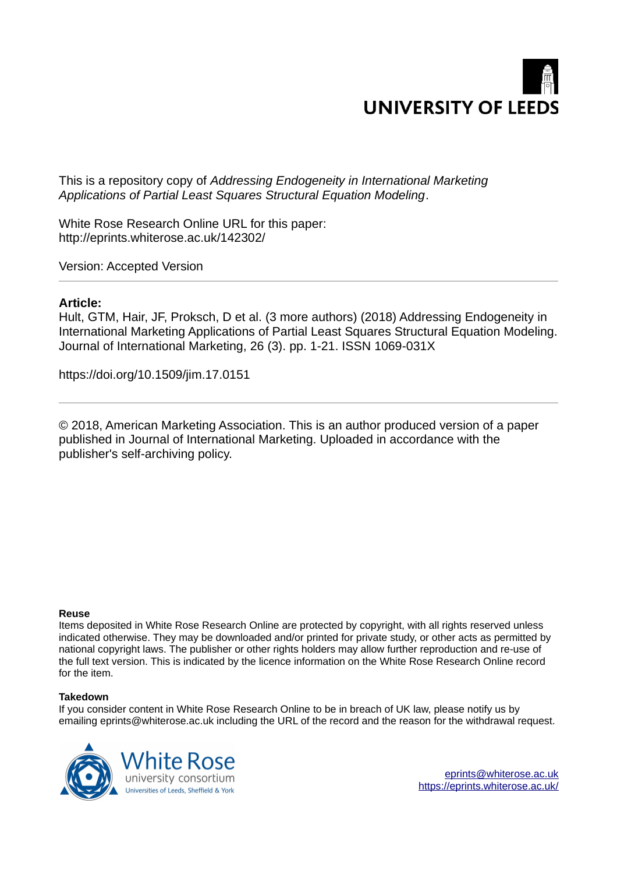

This is a repository copy of *Addressing Endogeneity in International Marketing Applications of Partial Least Squares Structural Equation Modeling*.

White Rose Research Online URL for this paper: http://eprints.whiterose.ac.uk/142302/

Version: Accepted Version

# **Article:**

Hult, GTM, Hair, JF, Proksch, D et al. (3 more authors) (2018) Addressing Endogeneity in International Marketing Applications of Partial Least Squares Structural Equation Modeling. Journal of International Marketing, 26 (3). pp. 1-21. ISSN 1069-031X

https://doi.org/10.1509/jim.17.0151

© 2018, American Marketing Association. This is an author produced version of a paper published in Journal of International Marketing. Uploaded in accordance with the publisher's self-archiving policy.

#### **Reuse**

Items deposited in White Rose Research Online are protected by copyright, with all rights reserved unless indicated otherwise. They may be downloaded and/or printed for private study, or other acts as permitted by national copyright laws. The publisher or other rights holders may allow further reproduction and re-use of the full text version. This is indicated by the licence information on the White Rose Research Online record for the item.

#### **Takedown**

If you consider content in White Rose Research Online to be in breach of UK law, please notify us by emailing eprints@whiterose.ac.uk including the URL of the record and the reason for the withdrawal request.



[eprints@whiterose.ac.uk](mailto:eprints@whiterose.ac.uk) <https://eprints.whiterose.ac.uk/>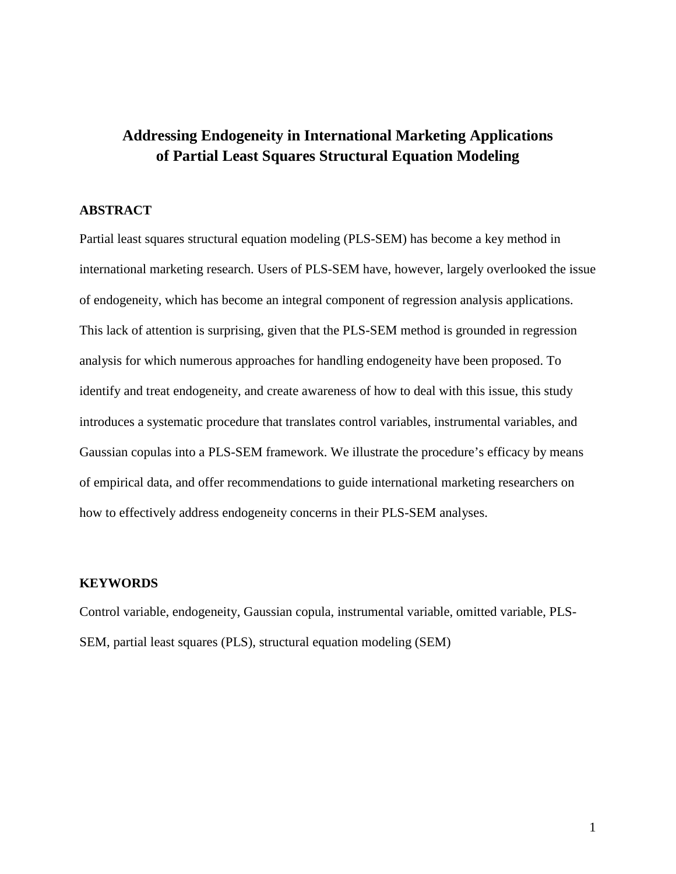# **Addressing Endogeneity in International Marketing Applications of Partial Least Squares Structural Equation Modeling**

# **ABSTRACT**

Partial least squares structural equation modeling (PLS-SEM) has become a key method in international marketing research. Users of PLS-SEM have, however, largely overlooked the issue of endogeneity, which has become an integral component of regression analysis applications. This lack of attention is surprising, given that the PLS-SEM method is grounded in regression analysis for which numerous approaches for handling endogeneity have been proposed. To identify and treat endogeneity, and create awareness of how to deal with this issue, this study introduces a systematic procedure that translates control variables, instrumental variables, and Gaussian copulas into a PLS-SEM framework. We illustrate the procedure's efficacy by means of empirical data, and offer recommendations to guide international marketing researchers on how to effectively address endogeneity concerns in their PLS-SEM analyses.

# **KEYWORDS**

Control variable, endogeneity, Gaussian copula, instrumental variable, omitted variable, PLS-SEM, partial least squares (PLS), structural equation modeling (SEM)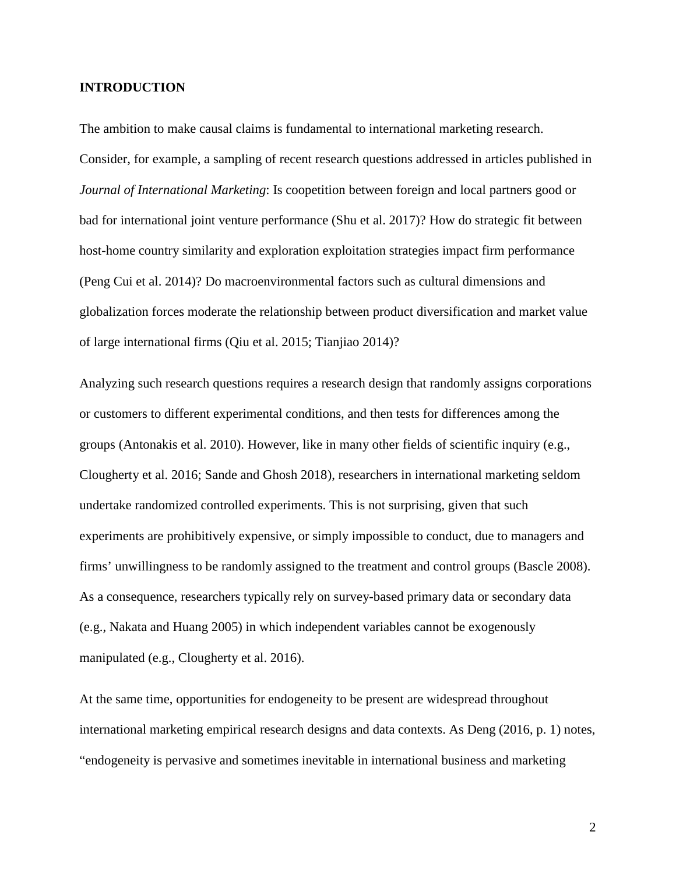# **INTRODUCTION**

The ambition to make causal claims is fundamental to international marketing research. Consider, for example, a sampling of recent research questions addressed in articles published in *Journal of International Marketing*: Is coopetition between foreign and local partners good or bad for international joint venture performance (Shu et al. 2017)? How do strategic fit between host-home country similarity and exploration exploitation strategies impact firm performance (Peng Cui et al. 2014)? Do macroenvironmental factors such as cultural dimensions and globalization forces moderate the relationship between product diversification and market value of large international firms (Qiu et al. 2015; Tianjiao 2014)?

Analyzing such research questions requires a research design that randomly assigns corporations or customers to different experimental conditions, and then tests for differences among the groups (Antonakis et al. 2010). However, like in many other fields of scientific inquiry (e.g., Clougherty et al. 2016; Sande and Ghosh 2018), researchers in international marketing seldom undertake randomized controlled experiments. This is not surprising, given that such experiments are prohibitively expensive, or simply impossible to conduct, due to managers and firms' unwillingness to be randomly assigned to the treatment and control groups (Bascle 2008). As a consequence, researchers typically rely on survey-based primary data or secondary data (e.g., Nakata and Huang 2005) in which independent variables cannot be exogenously manipulated (e.g., Clougherty et al. 2016).

At the same time, opportunities for endogeneity to be present are widespread throughout international marketing empirical research designs and data contexts. As Deng (2016, p. 1) notes, "endogeneity is pervasive and sometimes inevitable in international business and marketing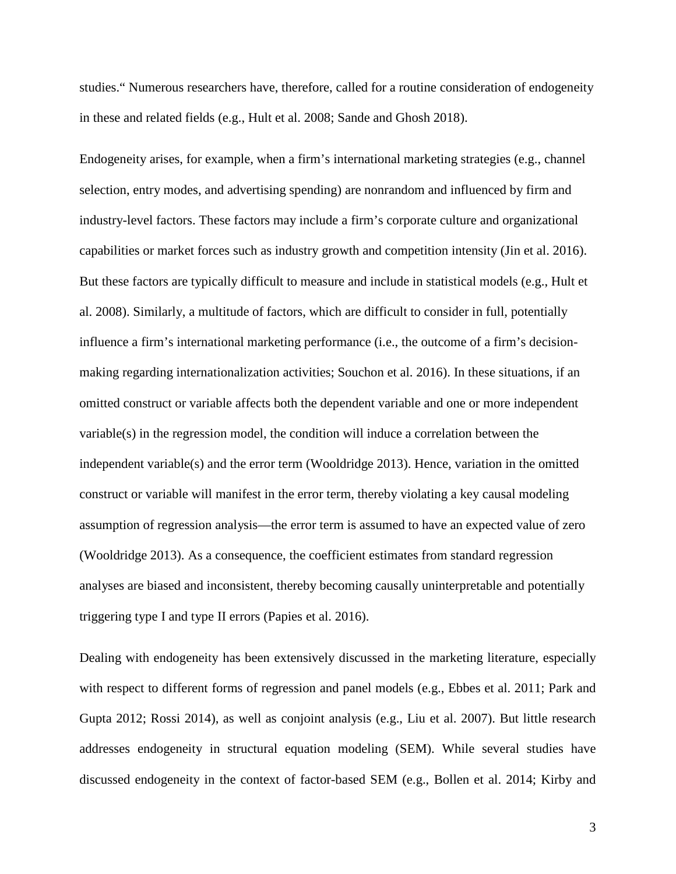studies." Numerous researchers have, therefore, called for a routine consideration of endogeneity in these and related fields (e.g., Hult et al. 2008; Sande and Ghosh 2018).

Endogeneity arises, for example, when a firm's international marketing strategies (e.g., channel selection, entry modes, and advertising spending) are nonrandom and influenced by firm and industry-level factors. These factors may include a firm's corporate culture and organizational capabilities or market forces such as industry growth and competition intensity (Jin et al. 2016). But these factors are typically difficult to measure and include in statistical models (e.g., Hult et al. 2008). Similarly, a multitude of factors, which are difficult to consider in full, potentially influence a firm's international marketing performance (i.e., the outcome of a firm's decisionmaking regarding internationalization activities; Souchon et al. 2016). In these situations, if an omitted construct or variable affects both the dependent variable and one or more independent variable(s) in the regression model, the condition will induce a correlation between the independent variable(s) and the error term (Wooldridge 2013). Hence, variation in the omitted construct or variable will manifest in the error term, thereby violating a key causal modeling assumption of regression analysis—the error term is assumed to have an expected value of zero (Wooldridge 2013). As a consequence, the coefficient estimates from standard regression analyses are biased and inconsistent, thereby becoming causally uninterpretable and potentially triggering type I and type II errors (Papies et al. 2016).

Dealing with endogeneity has been extensively discussed in the marketing literature, especially with respect to different forms of regression and panel models (e.g., Ebbes et al. 2011; Park and Gupta 2012; Rossi 2014), as well as conjoint analysis (e.g., Liu et al. 2007). But little research addresses endogeneity in structural equation modeling (SEM). While several studies have discussed endogeneity in the context of factor-based SEM (e.g., Bollen et al. 2014; Kirby and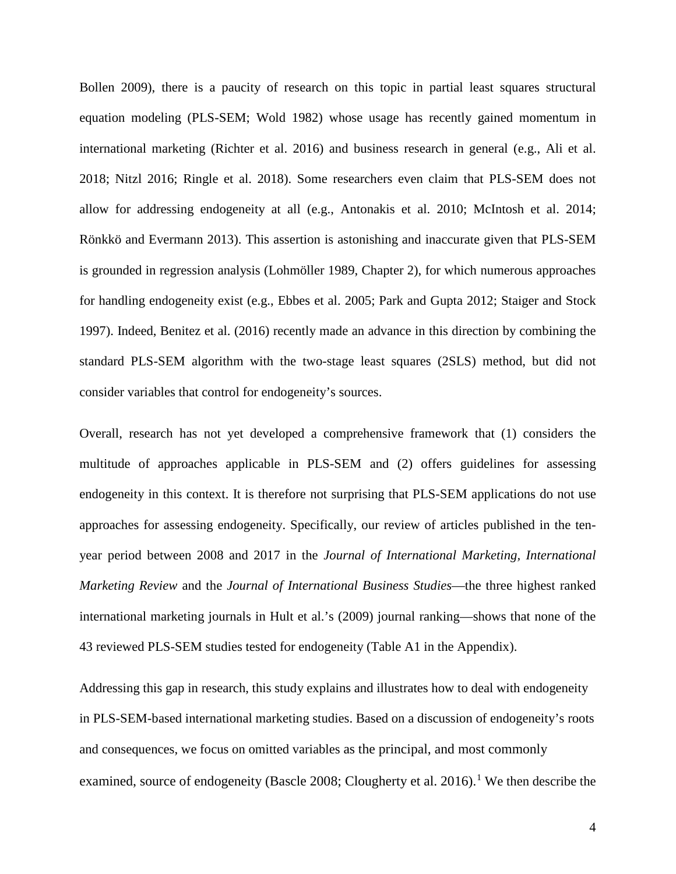Bollen 2009), there is a paucity of research on this topic in partial least squares structural equation modeling (PLS-SEM; Wold 1982) whose usage has recently gained momentum in international marketing (Richter et al. 2016) and business research in general (e.g., Ali et al. 2018; Nitzl 2016; Ringle et al. 2018). Some researchers even claim that PLS-SEM does not allow for addressing endogeneity at all (e.g., Antonakis et al. 2010; McIntosh et al. 2014; Rönkkö and Evermann 2013). This assertion is astonishing and inaccurate given that PLS-SEM is grounded in regression analysis (Lohmöller 1989, Chapter 2), for which numerous approaches for handling endogeneity exist (e.g., Ebbes et al. 2005; Park and Gupta 2012; Staiger and Stock 1997). Indeed, Benitez et al. (2016) recently made an advance in this direction by combining the standard PLS-SEM algorithm with the two-stage least squares (2SLS) method, but did not consider variables that control for endogeneity's sources.

Overall, research has not yet developed a comprehensive framework that (1) considers the multitude of approaches applicable in PLS-SEM and (2) offers guidelines for assessing endogeneity in this context. It is therefore not surprising that PLS-SEM applications do not use approaches for assessing endogeneity. Specifically, our review of articles published in the tenyear period between 2008 and 2017 in the *Journal of International Marketing, International Marketing Review* and the *Journal of International Business Studies*—the three highest ranked international marketing journals in Hult et al.'s (2009) journal ranking—shows that none of the 43 reviewed PLS-SEM studies tested for endogeneity (Table A1 in the Appendix).

Addressing this gap in research, this study explains and illustrates how to deal with endogeneity in PLS-SEM-based international marketing studies. Based on a discussion of endogeneity's roots and consequences, we focus on omitted variables as the principal, and most commonly examined, source of endogeneity (Bascle 2008; Clougherty et al. 20[1](#page-51-0)6).<sup>1</sup> We then describe the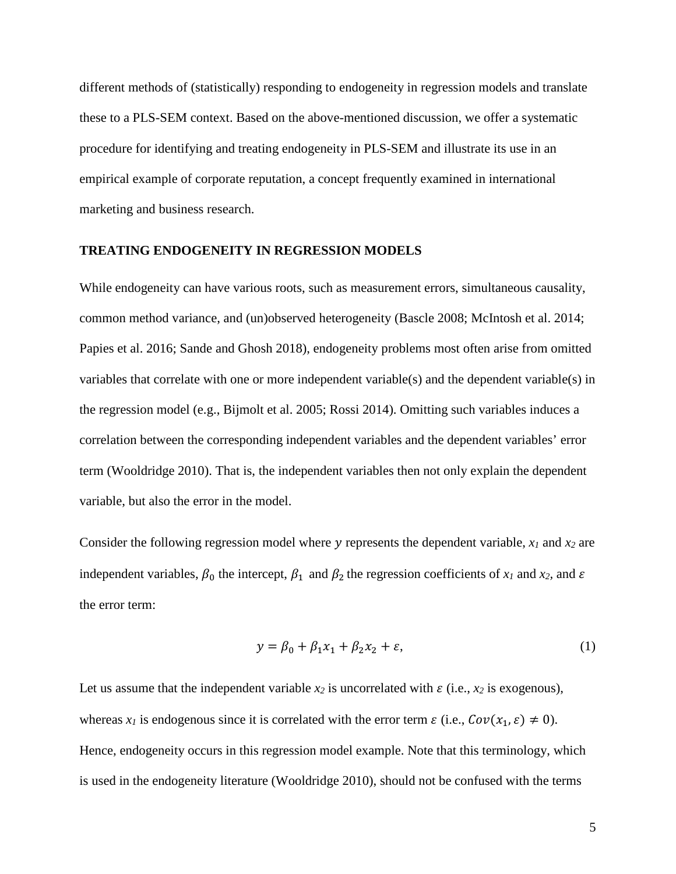different methods of (statistically) responding to endogeneity in regression models and translate these to a PLS-SEM context. Based on the above-mentioned discussion, we offer a systematic procedure for identifying and treating endogeneity in PLS-SEM and illustrate its use in an empirical example of corporate reputation, a concept frequently examined in international marketing and business research.

#### **TREATING ENDOGENEITY IN REGRESSION MODELS**

While endogeneity can have various roots, such as measurement errors, simultaneous causality, common method variance, and (un)observed heterogeneity (Bascle 2008; McIntosh et al. 2014; Papies et al. 2016; Sande and Ghosh 2018), endogeneity problems most often arise from omitted variables that correlate with one or more independent variable(s) and the dependent variable(s) in the regression model (e.g., Bijmolt et al. 2005; Rossi 2014). Omitting such variables induces a correlation between the corresponding independent variables and the dependent variables' error term (Wooldridge 2010). That is, the independent variables then not only explain the dependent variable, but also the error in the model.

Consider the following regression model where  $y$  represents the dependent variable,  $x_1$  and  $x_2$  are independent variables,  $\beta_0$  the intercept,  $\beta_1$  and  $\beta_2$  the regression coefficients of  $x_1$  and  $x_2$ , and  $\varepsilon$ the error term:

$$
y = \beta_0 + \beta_1 x_1 + \beta_2 x_2 + \varepsilon,\tag{1}
$$

Let us assume that the independent variable  $x_2$  is uncorrelated with  $\varepsilon$  (i.e.,  $x_2$  is exogenous), whereas  $x_i$  is endogenous since it is correlated with the error term  $\varepsilon$  (i.e.,  $Cov(x_1, \varepsilon) \neq 0$ ). Hence, endogeneity occurs in this regression model example. Note that this terminology, which is used in the endogeneity literature (Wooldridge 2010), should not be confused with the terms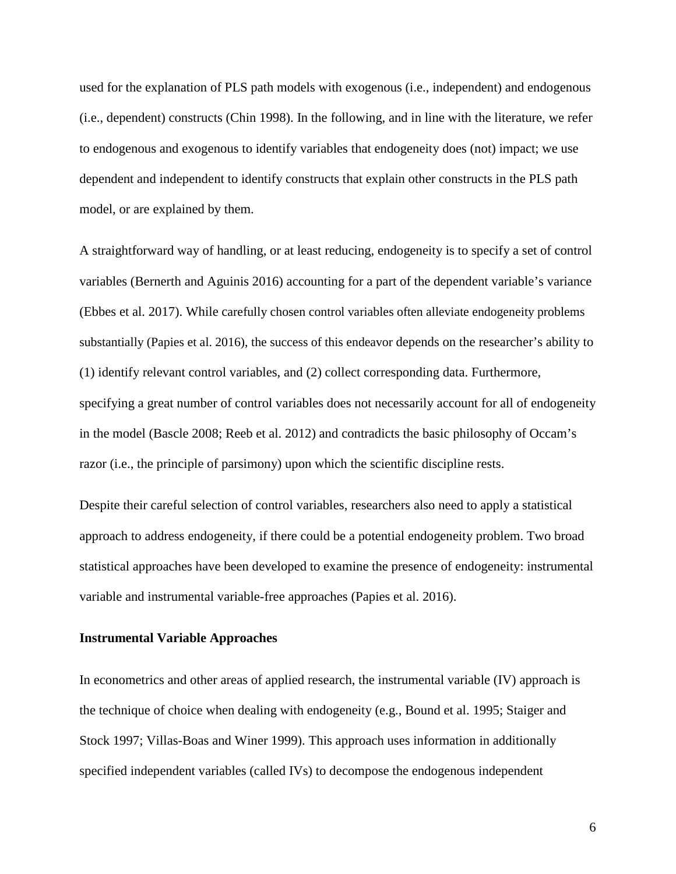used for the explanation of PLS path models with exogenous (i.e., independent) and endogenous (i.e., dependent) constructs (Chin 1998). In the following, and in line with the literature, we refer to endogenous and exogenous to identify variables that endogeneity does (not) impact; we use dependent and independent to identify constructs that explain other constructs in the PLS path model, or are explained by them.

A straightforward way of handling, or at least reducing, endogeneity is to specify a set of control variables (Bernerth and Aguinis 2016) accounting for a part of the dependent variable's variance (Ebbes et al. 2017). While carefully chosen control variables often alleviate endogeneity problems substantially (Papies et al. 2016), the success of this endeavor depends on the researcher's ability to (1) identify relevant control variables, and (2) collect corresponding data. Furthermore, specifying a great number of control variables does not necessarily account for all of endogeneity in the model (Bascle 2008; Reeb et al. 2012) and contradicts the basic philosophy of Occam's razor (i.e., the principle of parsimony) upon which the scientific discipline rests.

Despite their careful selection of control variables, researchers also need to apply a statistical approach to address endogeneity, if there could be a potential endogeneity problem. Two broad statistical approaches have been developed to examine the presence of endogeneity: instrumental variable and instrumental variable-free approaches (Papies et al. 2016).

### **Instrumental Variable Approaches**

In econometrics and other areas of applied research, the instrumental variable (IV) approach is the technique of choice when dealing with endogeneity (e.g., Bound et al. 1995; Staiger and Stock 1997; Villas-Boas and Winer 1999). This approach uses information in additionally specified independent variables (called IVs) to decompose the endogenous independent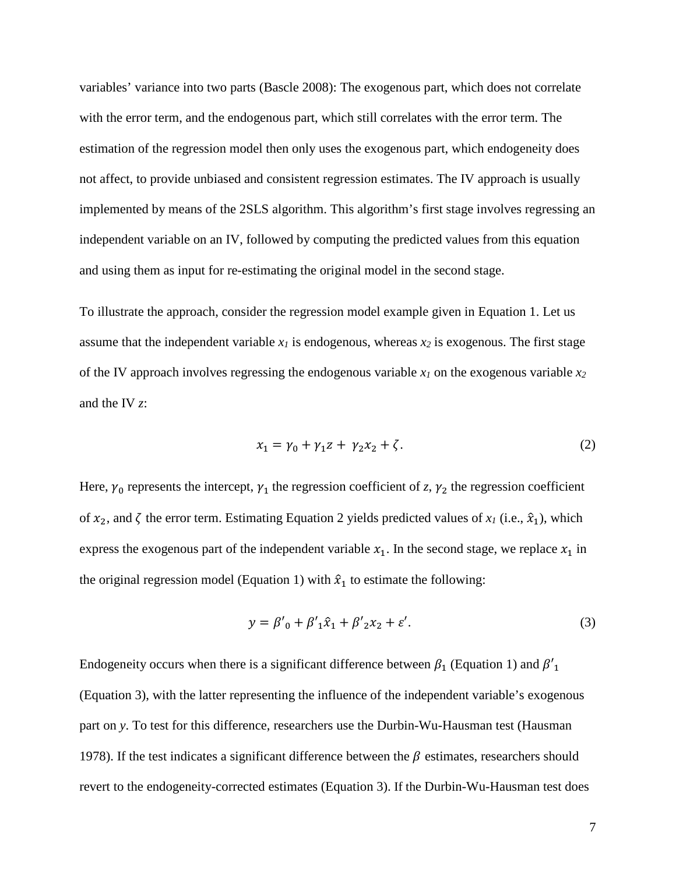variables' variance into two parts (Bascle 2008): The exogenous part, which does not correlate with the error term, and the endogenous part, which still correlates with the error term. The estimation of the regression model then only uses the exogenous part, which endogeneity does not affect, to provide unbiased and consistent regression estimates. The IV approach is usually implemented by means of the 2SLS algorithm. This algorithm's first stage involves regressing an independent variable on an IV, followed by computing the predicted values from this equation and using them as input for re-estimating the original model in the second stage.

To illustrate the approach, consider the regression model example given in Equation 1. Let us assume that the independent variable  $x_I$  is endogenous, whereas  $x_2$  is exogenous. The first stage of the IV approach involves regressing the endogenous variable *x1* on the exogenous variable *x<sup>2</sup>* and the IV *z*:

$$
x_1 = \gamma_0 + \gamma_1 z + \gamma_2 x_2 + \zeta. \tag{2}
$$

Here,  $\gamma_0$  represents the intercept,  $\gamma_1$  the regression coefficient of *z*,  $\gamma_2$  the regression coefficient of  $x_2$ , and  $\zeta$  the error term. Estimating Equation 2 yields predicted values of  $x_1$  (i.e.,  $\hat{x}_1$ ), which express the exogenous part of the independent variable  $x_1$ . In the second stage, we replace  $x_1$  in the original regression model (Equation 1) with  $\hat{x}_1$  to estimate the following:

$$
y = \beta'_{0} + \beta'_{1}\hat{x}_{1} + \beta'_{2}x_{2} + \varepsilon'. \tag{3}
$$

Endogeneity occurs when there is a significant difference between  $\beta_1$  (Equation 1) and  $\beta'_1$ (Equation 3), with the latter representing the influence of the independent variable's exogenous part on *y*. To test for this difference, researchers use the Durbin-Wu-Hausman test (Hausman 1978). If the test indicates a significant difference between the  $\beta$  estimates, researchers should revert to the endogeneity-corrected estimates (Equation 3). If the Durbin-Wu-Hausman test does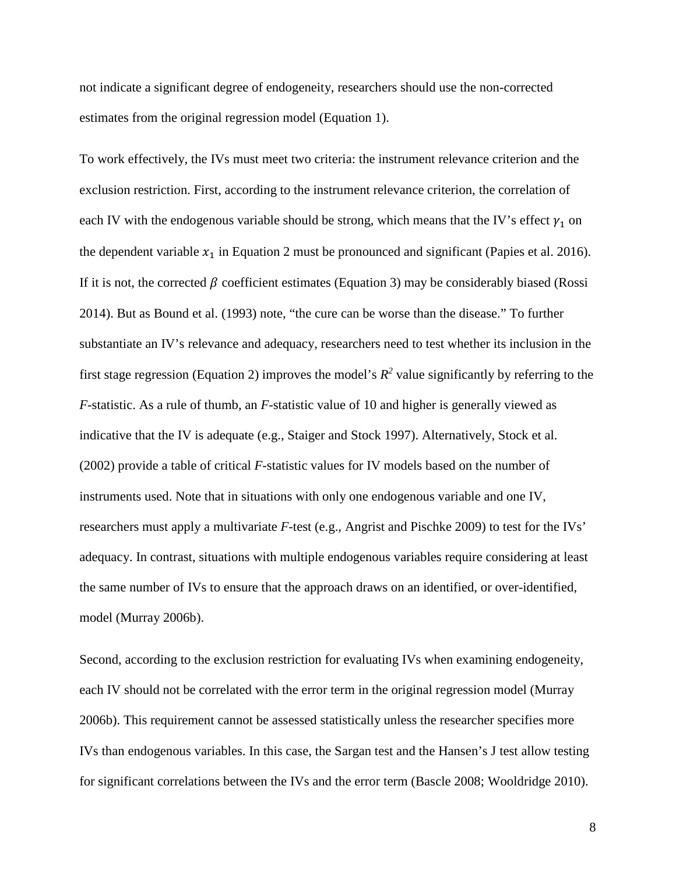not indicate a significant degree of endogeneity, researchers should use the non-corrected estimates from the original regression model (Equation 1).

To work effectively, the IVs must meet two criteria: the instrument relevance criterion and the exclusion restriction. First, according to the instrument relevance criterion, the correlation of each IV with the endogenous variable should be strong, which means that the IV's effect  $\gamma_1$  on the dependent variable  $x_1$  in Equation 2 must be pronounced and significant (Papies et al. 2016). If it is not, the corrected  $\beta$  coefficient estimates (Equation 3) may be considerably biased (Rossi 2014). But as Bound et al. (1993) note, "the cure can be worse than the disease." To further substantiate an IV's relevance and adequacy, researchers need to test whether its inclusion in the first stage regression (Equation 2) improves the model's  $R^2$  value significantly by referring to the *F*-statistic. As a rule of thumb, an *F*-statistic value of 10 and higher is generally viewed as indicative that the IV is adequate (e.g., Staiger and Stock 1997). Alternatively, Stock et al. (2002) provide a table of critical *F*-statistic values for IV models based on the number of instruments used. Note that in situations with only one endogenous variable and one IV, researchers must apply a multivariate *F*-test (e.g., Angrist and Pischke 2009) to test for the IVs' adequacy. In contrast, situations with multiple endogenous variables require considering at least the same number of IVs to ensure that the approach draws on an identified, or over-identified, model (Murray 2006b).

Second, according to the exclusion restriction for evaluating IVs when examining endogeneity, each IV should not be correlated with the error term in the original regression model (Murray 2006b). This requirement cannot be assessed statistically unless the researcher specifies more IVs than endogenous variables. In this case, the Sargan test and the Hansen's J test allow testing for significant correlations between the IVs and the error term (Bascle 2008; Wooldridge 2010).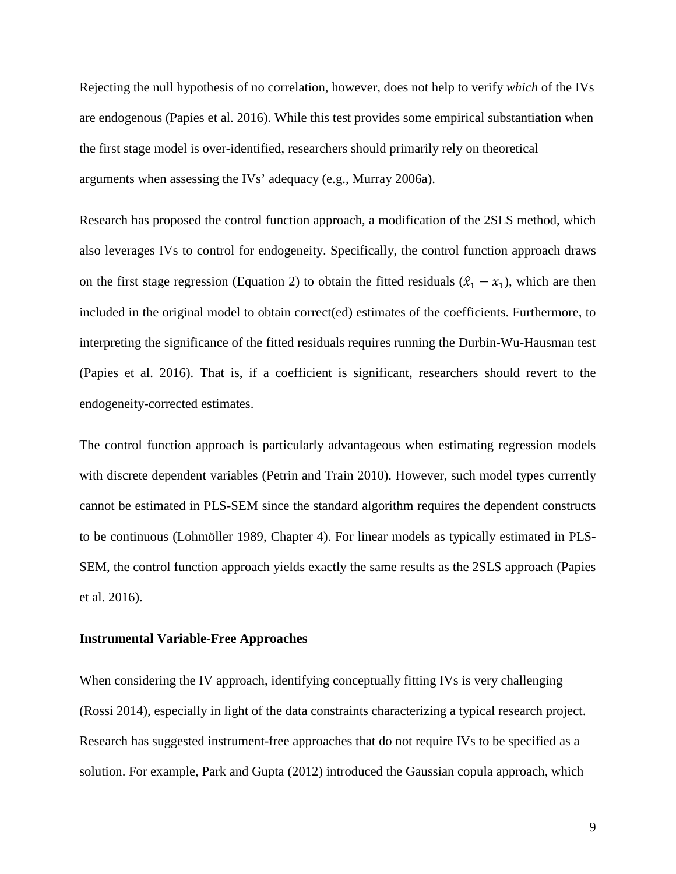Rejecting the null hypothesis of no correlation, however, does not help to verify *which* of the IVs are endogenous (Papies et al. 2016). While this test provides some empirical substantiation when the first stage model is over-identified, researchers should primarily rely on theoretical arguments when assessing the IVs' adequacy (e.g., Murray 2006a).

Research has proposed the control function approach, a modification of the 2SLS method, which also leverages IVs to control for endogeneity. Specifically, the control function approach draws on the first stage regression (Equation 2) to obtain the fitted residuals  $(\hat{x}_1 - x_1)$ , which are then included in the original model to obtain correct(ed) estimates of the coefficients. Furthermore, to interpreting the significance of the fitted residuals requires running the Durbin-Wu-Hausman test (Papies et al. 2016). That is, if a coefficient is significant, researchers should revert to the endogeneity-corrected estimates.

The control function approach is particularly advantageous when estimating regression models with discrete dependent variables (Petrin and Train 2010). However, such model types currently cannot be estimated in PLS-SEM since the standard algorithm requires the dependent constructs to be continuous (Lohmöller 1989, Chapter 4). For linear models as typically estimated in PLS-SEM, the control function approach yields exactly the same results as the 2SLS approach (Papies et al. 2016).

#### **Instrumental Variable-Free Approaches**

When considering the IV approach, identifying conceptually fitting IVs is very challenging (Rossi 2014), especially in light of the data constraints characterizing a typical research project. Research has suggested instrument-free approaches that do not require IVs to be specified as a solution. For example, Park and Gupta (2012) introduced the Gaussian copula approach, which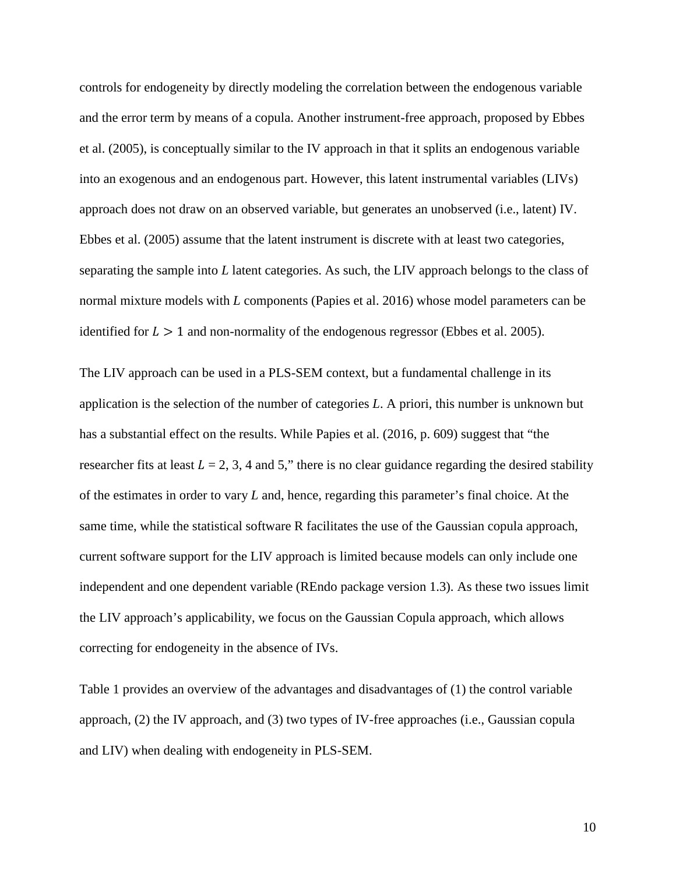controls for endogeneity by directly modeling the correlation between the endogenous variable and the error term by means of a copula. Another instrument-free approach, proposed by Ebbes et al. (2005), is conceptually similar to the IV approach in that it splits an endogenous variable into an exogenous and an endogenous part. However, this latent instrumental variables (LIVs) approach does not draw on an observed variable, but generates an unobserved (i.e., latent) IV. Ebbes et al. (2005) assume that the latent instrument is discrete with at least two categories, separating the sample into *L* latent categories. As such, the LIV approach belongs to the class of normal mixture models with *L* components (Papies et al. 2016) whose model parameters can be identified for  $L > 1$  and non-normality of the endogenous regressor (Ebbes et al. 2005).

The LIV approach can be used in a PLS-SEM context, but a fundamental challenge in its application is the selection of the number of categories *L*. A priori, this number is unknown but has a substantial effect on the results. While Papies et al. (2016, p. 609) suggest that "the researcher fits at least  $L = 2, 3, 4$  and 5," there is no clear guidance regarding the desired stability of the estimates in order to vary *L* and, hence, regarding this parameter's final choice. At the same time, while the statistical software R facilitates the use of the Gaussian copula approach, current software support for the LIV approach is limited because models can only include one independent and one dependent variable (REndo package version 1.3). As these two issues limit the LIV approach's applicability, we focus on the Gaussian Copula approach, which allows correcting for endogeneity in the absence of IVs.

Table 1 provides an overview of the advantages and disadvantages of (1) the control variable approach, (2) the IV approach, and (3) two types of IV-free approaches (i.e., Gaussian copula and LIV) when dealing with endogeneity in PLS-SEM.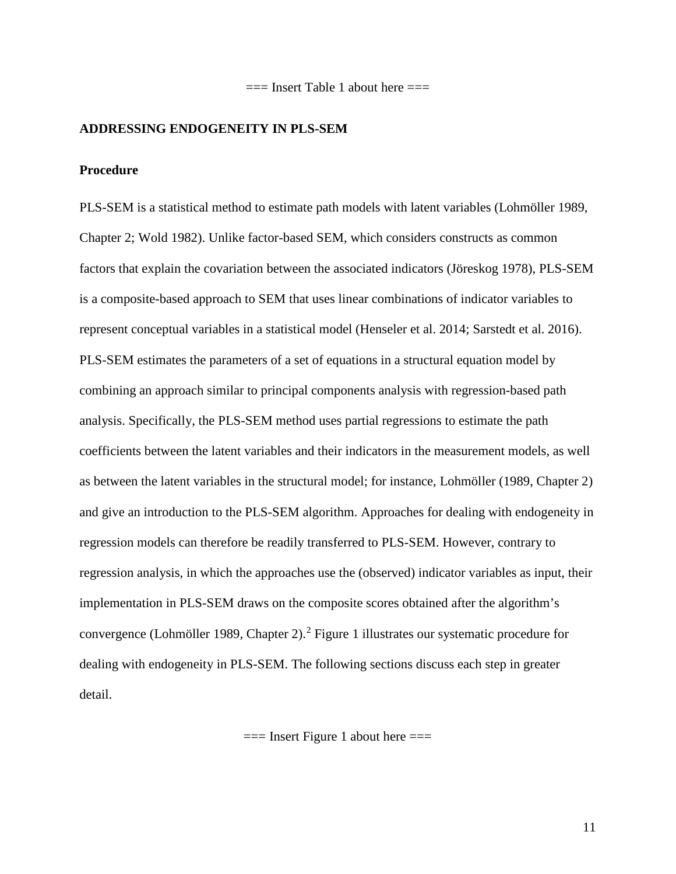$==$  Insert Table 1 about here  $==$ 

# **ADDRESSING ENDOGENEITY IN PLS-SEM**

# **Procedure**

PLS-SEM is a statistical method to estimate path models with latent variables (Lohmöller 1989, Chapter 2; Wold 1982). Unlike factor-based SEM, which considers constructs as common factors that explain the covariation between the associated indicators (Jöreskog 1978), PLS-SEM is a composite-based approach to SEM that uses linear combinations of indicator variables to represent conceptual variables in a statistical model (Henseler et al. 2014; Sarstedt et al. 2016). PLS-SEM estimates the parameters of a set of equations in a structural equation model by combining an approach similar to principal components analysis with regression-based path analysis. Specifically, the PLS-SEM method uses partial regressions to estimate the path coefficients between the latent variables and their indicators in the measurement models, as well as between the latent variables in the structural model; for instance, Lohmöller (1989, Chapter 2) and give an introduction to the PLS-SEM algorithm. Approaches for dealing with endogeneity in regression models can therefore be readily transferred to PLS-SEM. However, contrary to regression analysis, in which the approaches use the (observed) indicator variables as input, their implementation in PLS-SEM draws on the composite scores obtained after the algorithm's convergence (Lohmöller 1989, Chapter 2).[2](#page-51-1) Figure 1 illustrates our systematic procedure for dealing with endogeneity in PLS-SEM. The following sections discuss each step in greater detail.

 $==$  Insert Figure 1 about here  $==$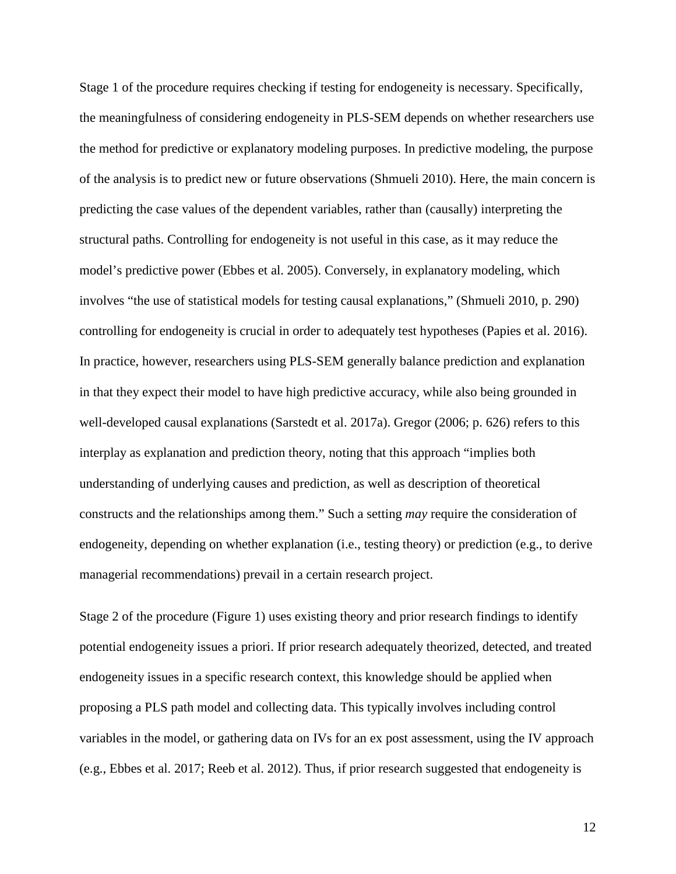Stage 1 of the procedure requires checking if testing for endogeneity is necessary. Specifically, the meaningfulness of considering endogeneity in PLS-SEM depends on whether researchers use the method for predictive or explanatory modeling purposes. In predictive modeling, the purpose of the analysis is to predict new or future observations (Shmueli 2010). Here, the main concern is predicting the case values of the dependent variables, rather than (causally) interpreting the structural paths. Controlling for endogeneity is not useful in this case, as it may reduce the model's predictive power (Ebbes et al. 2005). Conversely, in explanatory modeling, which involves "the use of statistical models for testing causal explanations," (Shmueli 2010, p. 290) controlling for endogeneity is crucial in order to adequately test hypotheses (Papies et al. 2016). In practice, however, researchers using PLS-SEM generally balance prediction and explanation in that they expect their model to have high predictive accuracy, while also being grounded in well-developed causal explanations (Sarstedt et al. 2017a). Gregor (2006; p. 626) refers to this interplay as explanation and prediction theory, noting that this approach "implies both understanding of underlying causes and prediction, as well as description of theoretical constructs and the relationships among them." Such a setting *may* require the consideration of endogeneity, depending on whether explanation (i.e., testing theory) or prediction (e.g., to derive managerial recommendations) prevail in a certain research project.

Stage 2 of the procedure (Figure 1) uses existing theory and prior research findings to identify potential endogeneity issues a priori. If prior research adequately theorized, detected, and treated endogeneity issues in a specific research context, this knowledge should be applied when proposing a PLS path model and collecting data. This typically involves including control variables in the model, or gathering data on IVs for an ex post assessment, using the IV approach (e.g., Ebbes et al. 2017; Reeb et al. 2012). Thus, if prior research suggested that endogeneity is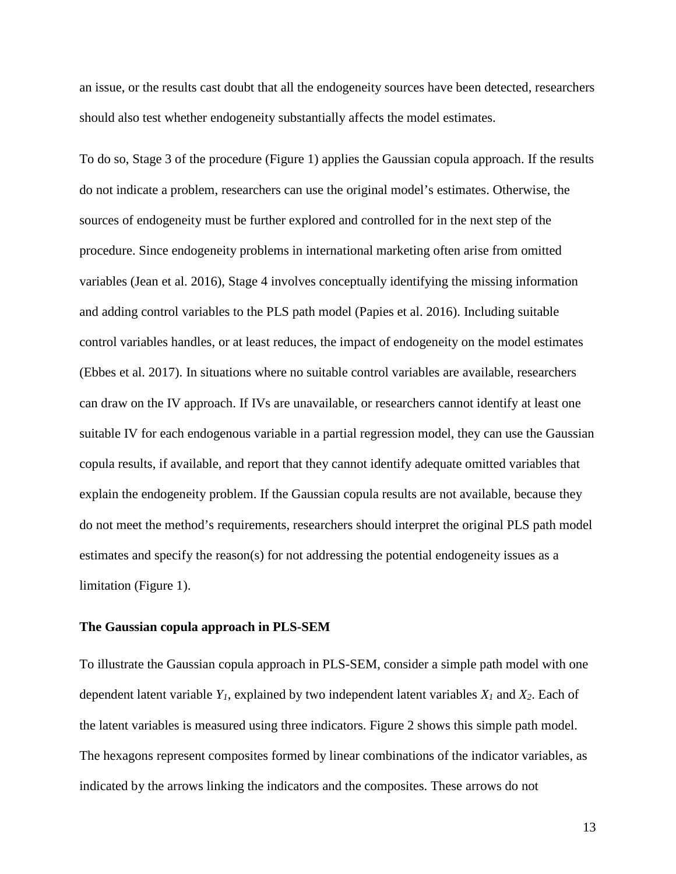an issue, or the results cast doubt that all the endogeneity sources have been detected, researchers should also test whether endogeneity substantially affects the model estimates.

To do so, Stage 3 of the procedure (Figure 1) applies the Gaussian copula approach. If the results do not indicate a problem, researchers can use the original model's estimates. Otherwise, the sources of endogeneity must be further explored and controlled for in the next step of the procedure. Since endogeneity problems in international marketing often arise from omitted variables (Jean et al. 2016), Stage 4 involves conceptually identifying the missing information and adding control variables to the PLS path model (Papies et al. 2016). Including suitable control variables handles, or at least reduces, the impact of endogeneity on the model estimates (Ebbes et al. 2017). In situations where no suitable control variables are available, researchers can draw on the IV approach. If IVs are unavailable, or researchers cannot identify at least one suitable IV for each endogenous variable in a partial regression model, they can use the Gaussian copula results, if available, and report that they cannot identify adequate omitted variables that explain the endogeneity problem. If the Gaussian copula results are not available, because they do not meet the method's requirements, researchers should interpret the original PLS path model estimates and specify the reason(s) for not addressing the potential endogeneity issues as a limitation (Figure 1).

#### **The Gaussian copula approach in PLS-SEM**

To illustrate the Gaussian copula approach in PLS-SEM, consider a simple path model with one dependent latent variable *Y1*, explained by two independent latent variables *X1* and *X2*. Each of the latent variables is measured using three indicators. Figure 2 shows this simple path model. The hexagons represent composites formed by linear combinations of the indicator variables, as indicated by the arrows linking the indicators and the composites. These arrows do not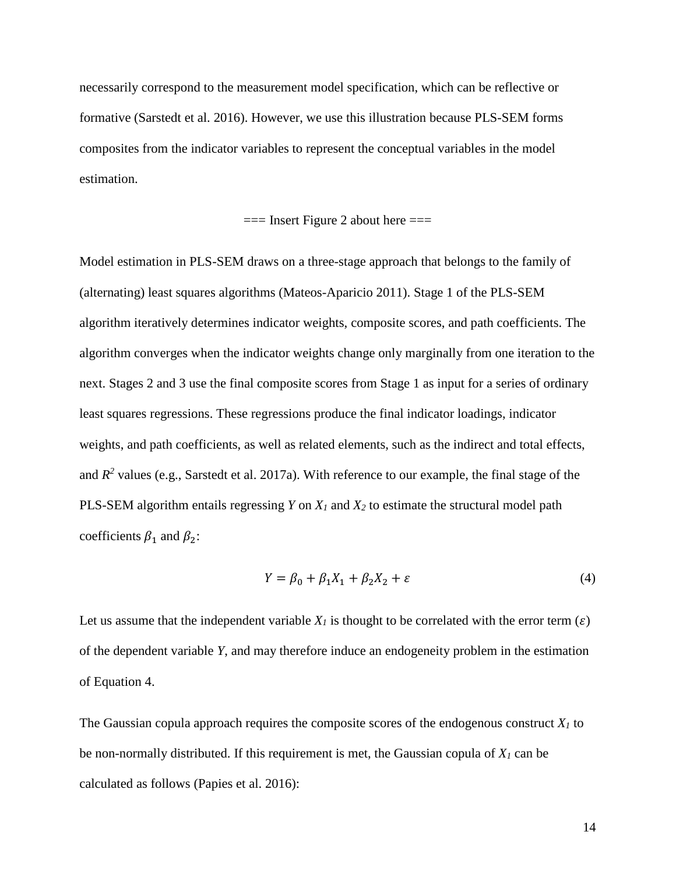necessarily correspond to the measurement model specification, which can be reflective or formative (Sarstedt et al. 2016). However, we use this illustration because PLS-SEM forms composites from the indicator variables to represent the conceptual variables in the model estimation.

$$
=
$$
 Insert Figure 2 about here  $=$ 

Model estimation in PLS-SEM draws on a three-stage approach that belongs to the family of (alternating) least squares algorithms (Mateos-Aparicio 2011). Stage 1 of the PLS-SEM algorithm iteratively determines indicator weights, composite scores, and path coefficients. The algorithm converges when the indicator weights change only marginally from one iteration to the next. Stages 2 and 3 use the final composite scores from Stage 1 as input for a series of ordinary least squares regressions. These regressions produce the final indicator loadings, indicator weights, and path coefficients, as well as related elements, such as the indirect and total effects, and  $R^2$  values (e.g., Sarstedt et al. 2017a). With reference to our example, the final stage of the PLS-SEM algorithm entails regressing *Y* on *X<sup>1</sup>* and *X<sup>2</sup>* to estimate the structural model path coefficients  $\beta_1$  and  $\beta_2$ :

$$
Y = \beta_0 + \beta_1 X_1 + \beta_2 X_2 + \varepsilon \tag{4}
$$

Let us assume that the independent variable  $X_I$  is thought to be correlated with the error term ( $\varepsilon$ ) of the dependent variable *Y*, and may therefore induce an endogeneity problem in the estimation of Equation 4.

The Gaussian copula approach requires the composite scores of the endogenous construct  $X_I$  to be non-normally distributed. If this requirement is met, the Gaussian copula of *X<sup>1</sup>* can be calculated as follows (Papies et al. 2016):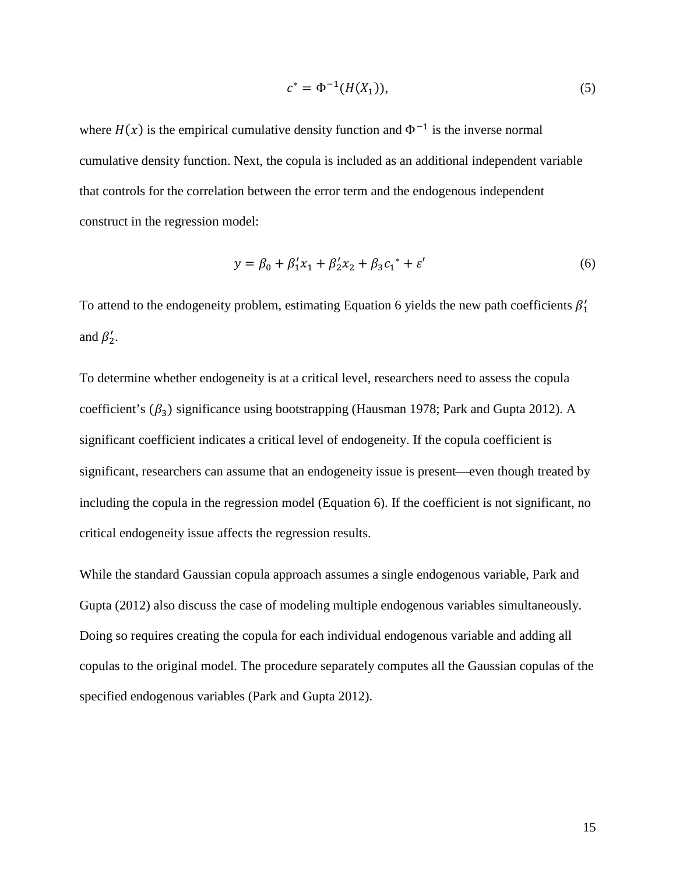$$
c^* = \Phi^{-1}(H(X_1)),
$$
 (5)

where  $H(x)$  is the empirical cumulative density function and  $\Phi^{-1}$  is the inverse normal cumulative density function. Next, the copula is included as an additional independent variable that controls for the correlation between the error term and the endogenous independent construct in the regression model:

$$
y = \beta_0 + \beta_1' x_1 + \beta_2' x_2 + \beta_3 c_1^* + \varepsilon'
$$
 (6)

To attend to the endogeneity problem, estimating Equation 6 yields the new path coefficients  $\beta'_1$ and  $\beta'_2$ .

To determine whether endogeneity is at a critical level, researchers need to assess the copula coefficient's  $(\beta_3)$  significance using bootstrapping (Hausman 1978; Park and Gupta 2012). A significant coefficient indicates a critical level of endogeneity. If the copula coefficient is significant, researchers can assume that an endogeneity issue is present—even though treated by including the copula in the regression model (Equation 6). If the coefficient is not significant, no critical endogeneity issue affects the regression results.

While the standard Gaussian copula approach assumes a single endogenous variable, Park and Gupta (2012) also discuss the case of modeling multiple endogenous variables simultaneously. Doing so requires creating the copula for each individual endogenous variable and adding all copulas to the original model. The procedure separately computes all the Gaussian copulas of the specified endogenous variables (Park and Gupta 2012).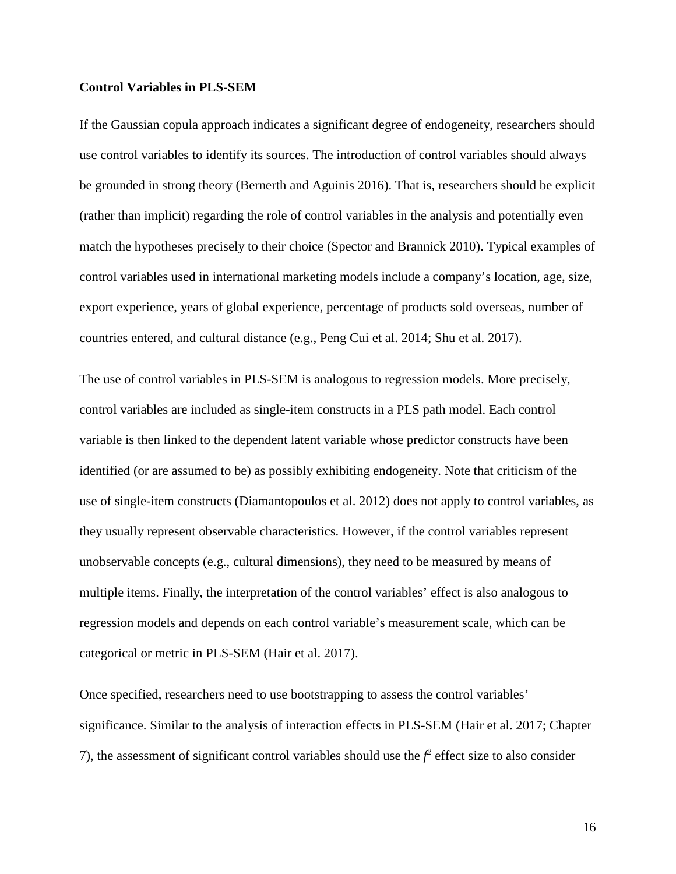#### **Control Variables in PLS-SEM**

If the Gaussian copula approach indicates a significant degree of endogeneity, researchers should use control variables to identify its sources. The introduction of control variables should always be grounded in strong theory (Bernerth and Aguinis 2016). That is, researchers should be explicit (rather than implicit) regarding the role of control variables in the analysis and potentially even match the hypotheses precisely to their choice (Spector and Brannick 2010). Typical examples of control variables used in international marketing models include a company's location, age, size, export experience, years of global experience, percentage of products sold overseas, number of countries entered, and cultural distance (e.g., Peng Cui et al. 2014; Shu et al. 2017).

The use of control variables in PLS-SEM is analogous to regression models. More precisely, control variables are included as single-item constructs in a PLS path model. Each control variable is then linked to the dependent latent variable whose predictor constructs have been identified (or are assumed to be) as possibly exhibiting endogeneity. Note that criticism of the use of single-item constructs (Diamantopoulos et al. 2012) does not apply to control variables, as they usually represent observable characteristics. However, if the control variables represent unobservable concepts (e.g., cultural dimensions), they need to be measured by means of multiple items. Finally, the interpretation of the control variables' effect is also analogous to regression models and depends on each control variable's measurement scale, which can be categorical or metric in PLS-SEM (Hair et al. 2017).

Once specified, researchers need to use bootstrapping to assess the control variables' significance. Similar to the analysis of interaction effects in PLS-SEM (Hair et al. 2017; Chapter 7), the assessment of significant control variables should use the  $f^2$  effect size to also consider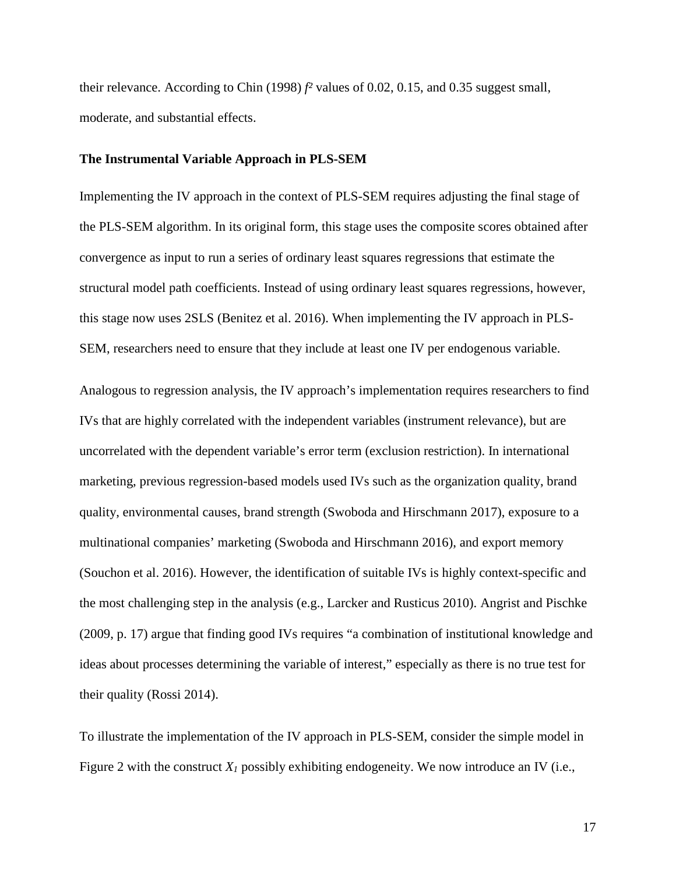their relevance. According to Chin (1998) *f²* values of 0.02, 0.15, and 0.35 suggest small, moderate, and substantial effects.

#### **The Instrumental Variable Approach in PLS-SEM**

Implementing the IV approach in the context of PLS-SEM requires adjusting the final stage of the PLS-SEM algorithm. In its original form, this stage uses the composite scores obtained after convergence as input to run a series of ordinary least squares regressions that estimate the structural model path coefficients. Instead of using ordinary least squares regressions, however, this stage now uses 2SLS (Benitez et al. 2016). When implementing the IV approach in PLS-SEM, researchers need to ensure that they include at least one IV per endogenous variable.

Analogous to regression analysis, the IV approach's implementation requires researchers to find IVs that are highly correlated with the independent variables (instrument relevance), but are uncorrelated with the dependent variable's error term (exclusion restriction). In international marketing, previous regression-based models used IVs such as the organization quality, brand quality, environmental causes, brand strength (Swoboda and Hirschmann 2017), exposure to a multinational companies' marketing (Swoboda and Hirschmann 2016), and export memory (Souchon et al. 2016). However, the identification of suitable IVs is highly context-specific and the most challenging step in the analysis (e.g., Larcker and Rusticus 2010). Angrist and Pischke (2009, p. 17) argue that finding good IVs requires "a combination of institutional knowledge and ideas about processes determining the variable of interest," especially as there is no true test for their quality (Rossi 2014).

To illustrate the implementation of the IV approach in PLS-SEM, consider the simple model in Figure 2 with the construct  $X_I$  possibly exhibiting endogeneity. We now introduce an IV (i.e.,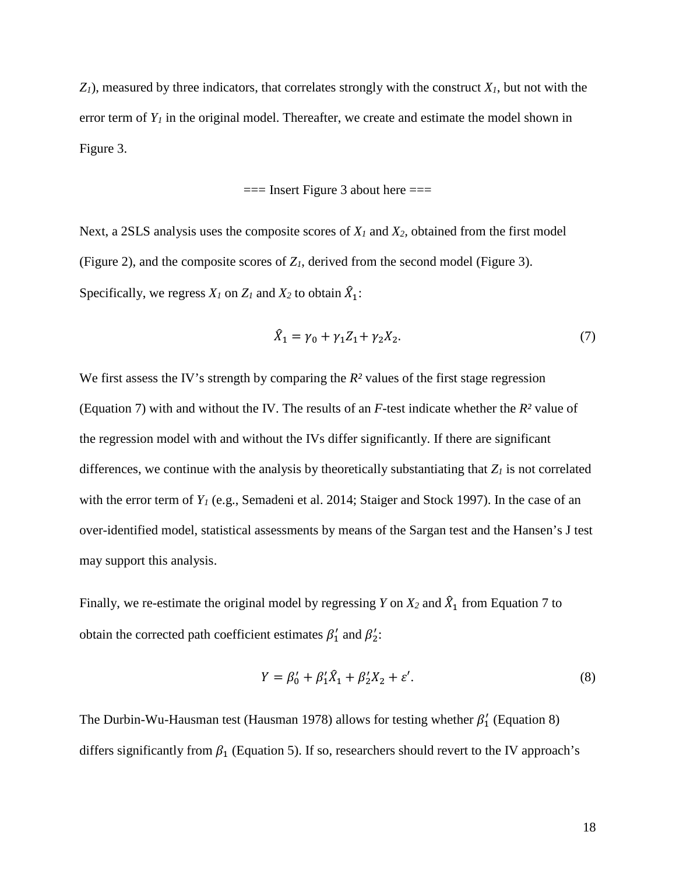$Z_I$ ), measured by three indicators, that correlates strongly with the construct  $X_I$ , but not with the error term of  $Y_I$  in the original model. Thereafter, we create and estimate the model shown in Figure 3.

 $==$  Insert Figure 3 about here  $==$ 

Next, a 2SLS analysis uses the composite scores of *X<sup>1</sup>* and *X2,* obtained from the first model (Figure 2), and the composite scores of *Z1*, derived from the second model (Figure 3). Specifically, we regress  $X_I$  on  $Z_I$  and  $X_2$  to obtain  $\hat{X}_1$ :

$$
\hat{X}_1 = \gamma_0 + \gamma_1 Z_1 + \gamma_2 X_2. \tag{7}
$$

We first assess the IV's strength by comparing the  $R<sup>2</sup>$  values of the first stage regression (Equation 7) with and without the IV. The results of an *F*-test indicate whether the *R²* value of the regression model with and without the IVs differ significantly. If there are significant differences, we continue with the analysis by theoretically substantiating that *Z<sup>1</sup>* is not correlated with the error term of  $Y<sub>1</sub>$  (e.g., Semadeni et al. 2014; Staiger and Stock 1997). In the case of an over-identified model, statistical assessments by means of the Sargan test and the Hansen's J test may support this analysis.

Finally, we re-estimate the original model by regressing *Y* on  $X_2$  and  $\hat{X}_1$  from Equation 7 to obtain the corrected path coefficient estimates  $\beta'_1$  and  $\beta'_2$ :

$$
Y = \beta'_0 + \beta'_1 \hat{X}_1 + \beta'_2 X_2 + \varepsilon'. \tag{8}
$$

The Durbin-Wu-Hausman test (Hausman 1978) allows for testing whether  $\beta'_1$  (Equation 8) differs significantly from  $\beta_1$  (Equation 5). If so, researchers should revert to the IV approach's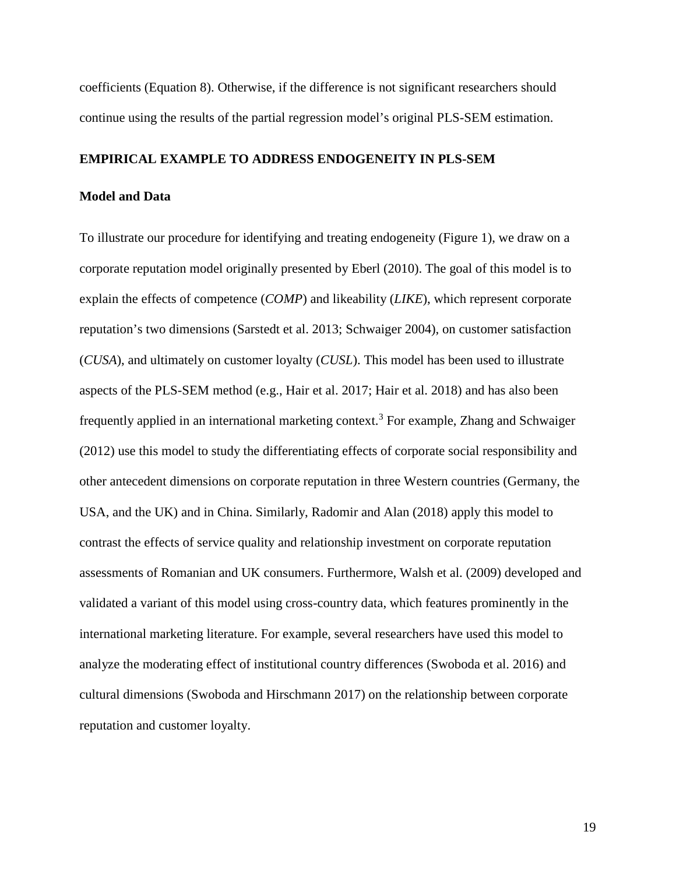coefficients (Equation 8). Otherwise, if the difference is not significant researchers should continue using the results of the partial regression model's original PLS-SEM estimation.

# **EMPIRICAL EXAMPLE TO ADDRESS ENDOGENEITY IN PLS-SEM**

# **Model and Data**

To illustrate our procedure for identifying and treating endogeneity (Figure 1), we draw on a corporate reputation model originally presented by Eberl (2010). The goal of this model is to explain the effects of competence (*COMP*) and likeability (*LIKE*), which represent corporate reputation's two dimensions (Sarstedt et al. 2013; Schwaiger 2004), on customer satisfaction (*CUSA*), and ultimately on customer loyalty (*CUSL*). This model has been used to illustrate aspects of the PLS-SEM method (e.g., Hair et al. 2017; Hair et al. 2018) and has also been frequently applied in an international marketing context. [3](#page-51-2) For example, Zhang and Schwaiger (2012) use this model to study the differentiating effects of corporate social responsibility and other antecedent dimensions on corporate reputation in three Western countries (Germany, the USA, and the UK) and in China. Similarly, Radomir and Alan (2018) apply this model to contrast the effects of service quality and relationship investment on corporate reputation assessments of Romanian and UK consumers. Furthermore, Walsh et al. (2009) developed and validated a variant of this model using cross-country data, which features prominently in the international marketing literature. For example, several researchers have used this model to analyze the moderating effect of institutional country differences (Swoboda et al. 2016) and cultural dimensions (Swoboda and Hirschmann 2017) on the relationship between corporate reputation and customer loyalty.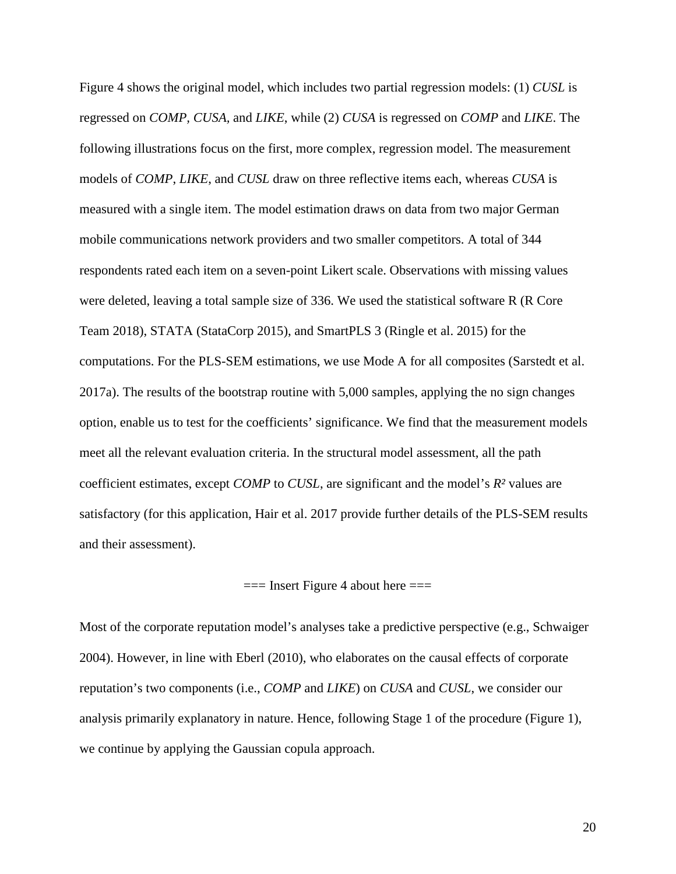Figure 4 shows the original model, which includes two partial regression models: (1) *CUSL* is regressed on *COMP, CUSA,* and *LIKE*, while (2) *CUSA* is regressed on *COMP* and *LIKE*. The following illustrations focus on the first, more complex, regression model. The measurement models of *COMP*, *LIKE*, and *CUSL* draw on three reflective items each, whereas *CUSA* is measured with a single item. The model estimation draws on data from two major German mobile communications network providers and two smaller competitors. A total of 344 respondents rated each item on a seven-point Likert scale. Observations with missing values were deleted, leaving a total sample size of 336. We used the statistical software R (R Core Team 2018), STATA (StataCorp 2015), and SmartPLS 3 (Ringle et al. 2015) for the computations. For the PLS-SEM estimations, we use Mode A for all composites (Sarstedt et al. 2017a). The results of the bootstrap routine with 5,000 samples, applying the no sign changes option, enable us to test for the coefficients' significance. We find that the measurement models meet all the relevant evaluation criteria. In the structural model assessment, all the path coefficient estimates, except *COMP* to *CUSL*, are significant and the model's *R²* values are satisfactory (for this application, Hair et al. 2017 provide further details of the PLS-SEM results and their assessment).

#### $==$  Insert Figure 4 about here  $==$

Most of the corporate reputation model's analyses take a predictive perspective (e.g., Schwaiger 2004). However, in line with Eberl (2010), who elaborates on the causal effects of corporate reputation's two components (i.e., *COMP* and *LIKE*) on *CUSA* and *CUSL*, we consider our analysis primarily explanatory in nature. Hence, following Stage 1 of the procedure (Figure 1), we continue by applying the Gaussian copula approach.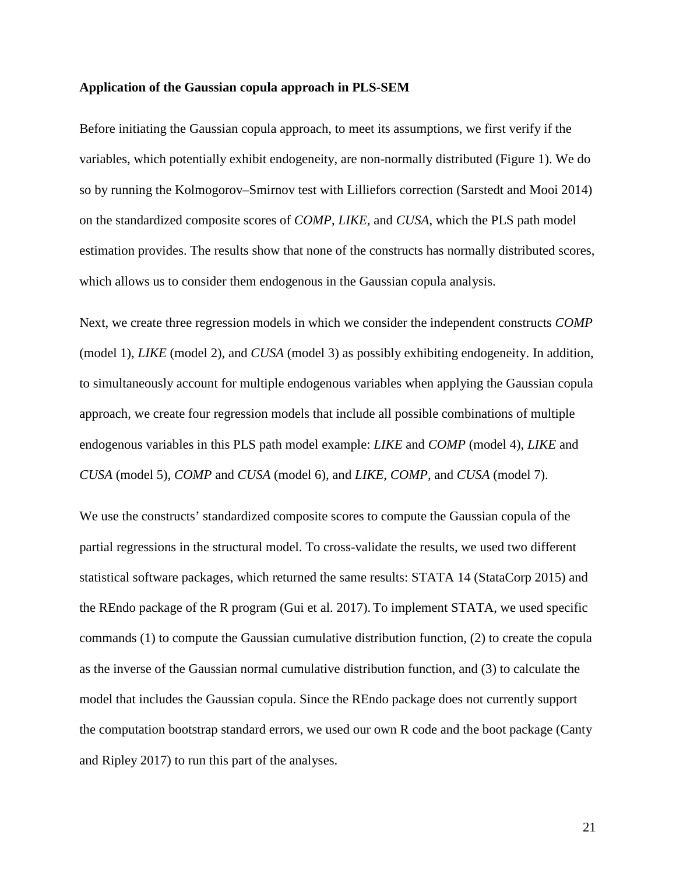#### **Application of the Gaussian copula approach in PLS-SEM**

Before initiating the Gaussian copula approach, to meet its assumptions, we first verify if the variables, which potentially exhibit endogeneity, are non-normally distributed (Figure 1). We do so by running the Kolmogorov–Smirnov test with Lilliefors correction (Sarstedt and Mooi 2014) on the standardized composite scores of *COMP*, *LIKE,* and *CUSA*, which the PLS path model estimation provides. The results show that none of the constructs has normally distributed scores, which allows us to consider them endogenous in the Gaussian copula analysis.

Next, we create three regression models in which we consider the independent constructs *COMP* (model 1), *LIKE* (model 2), and *CUSA* (model 3) as possibly exhibiting endogeneity. In addition, to simultaneously account for multiple endogenous variables when applying the Gaussian copula approach, we create four regression models that include all possible combinations of multiple endogenous variables in this PLS path model example: *LIKE* and *COMP* (model 4), *LIKE* and *CUSA* (model 5), *COMP* and *CUSA* (model 6), and *LIKE*, *COMP*, and *CUSA* (model 7).

We use the constructs' standardized composite scores to compute the Gaussian copula of the partial regressions in the structural model. To cross-validate the results, we used two different statistical software packages, which returned the same results: STATA 14 (StataCorp 2015) and the REndo package of the R program (Gui et al. 2017). To implement STATA, we used specific commands (1) to compute the Gaussian cumulative distribution function, (2) to create the copula as the inverse of the Gaussian normal cumulative distribution function, and (3) to calculate the model that includes the Gaussian copula. Since the REndo package does not currently support the computation bootstrap standard errors, we used our own R code and the boot package (Canty and Ripley 2017) to run this part of the analyses.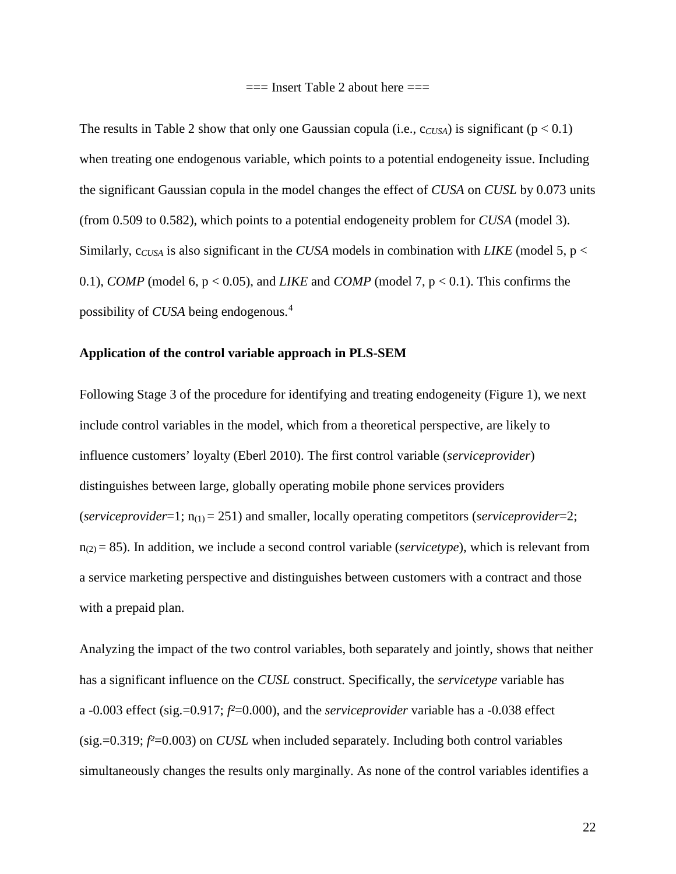$==$  Insert Table 2 about here  $==$ 

The results in Table 2 show that only one Gaussian copula (i.e.,  $c_{CVSA}$ ) is significant ( $p < 0.1$ ) when treating one endogenous variable, which points to a potential endogeneity issue. Including the significant Gaussian copula in the model changes the effect of *CUSA* on *CUSL* by 0.073 units (from 0.509 to 0.582), which points to a potential endogeneity problem for *CUSA* (model 3). Similarly, c*CUSA* is also significant in the *CUSA* models in combination with *LIKE* (model 5, p < 0.1), *COMP* (model 6,  $p < 0.05$ ), and *LIKE* and *COMP* (model 7,  $p < 0.1$ ). This confirms the possibility of *CUSA* being endogenous.[4](#page-51-3)

# **Application of the control variable approach in PLS-SEM**

Following Stage 3 of the procedure for identifying and treating endogeneity (Figure 1), we next include control variables in the model, which from a theoretical perspective, are likely to influence customers' loyalty (Eberl 2010). The first control variable (*serviceprovider*) distinguishes between large, globally operating mobile phone services providers (*serviceprovider*=1; n(1) = 251) and smaller, locally operating competitors (*serviceprovider*=2;  $n_{(2)} = 85$ ). In addition, we include a second control variable (*servicetype*), which is relevant from a service marketing perspective and distinguishes between customers with a contract and those with a prepaid plan.

Analyzing the impact of the two control variables, both separately and jointly, shows that neither has a significant influence on the *CUSL* construct. Specifically, the *servicetype* variable has a -0.003 effect (sig.=0.917; *f²*=0.000), and the *serviceprovider* variable has a -0.038 effect (sig.=0.319; *f²*=0.003) on *CUSL* when included separately. Including both control variables simultaneously changes the results only marginally. As none of the control variables identifies a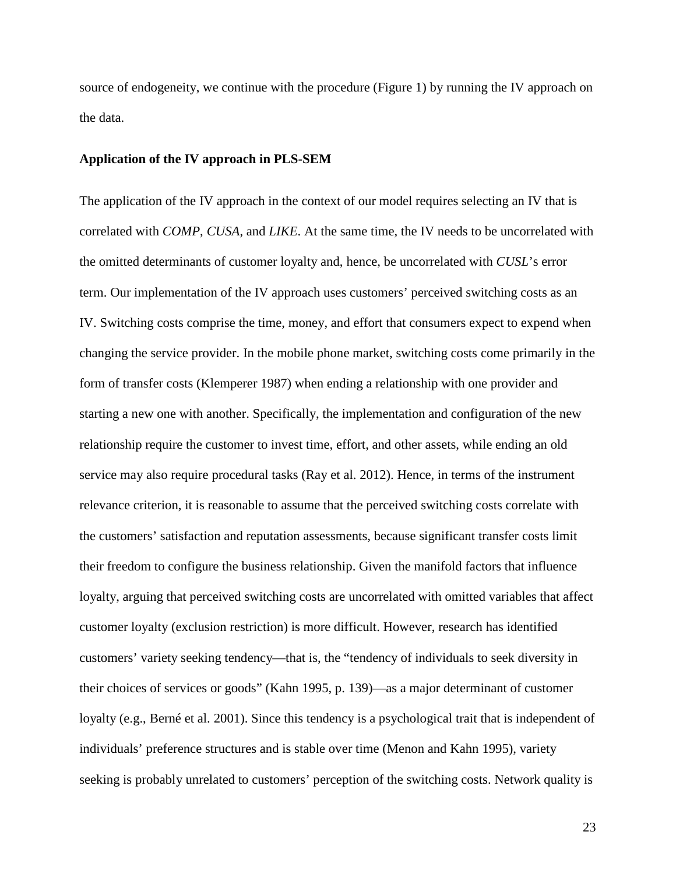source of endogeneity, we continue with the procedure (Figure 1) by running the IV approach on the data.

#### **Application of the IV approach in PLS-SEM**

The application of the IV approach in the context of our model requires selecting an IV that is correlated with *COMP*, *CUSA*, and *LIKE*. At the same time, the IV needs to be uncorrelated with the omitted determinants of customer loyalty and, hence, be uncorrelated with *CUSL*'s error term. Our implementation of the IV approach uses customers' perceived switching costs as an IV. Switching costs comprise the time, money, and effort that consumers expect to expend when changing the service provider. In the mobile phone market, switching costs come primarily in the form of transfer costs (Klemperer 1987) when ending a relationship with one provider and starting a new one with another. Specifically, the implementation and configuration of the new relationship require the customer to invest time, effort, and other assets, while ending an old service may also require procedural tasks (Ray et al. 2012). Hence, in terms of the instrument relevance criterion, it is reasonable to assume that the perceived switching costs correlate with the customers' satisfaction and reputation assessments, because significant transfer costs limit their freedom to configure the business relationship. Given the manifold factors that influence loyalty, arguing that perceived switching costs are uncorrelated with omitted variables that affect customer loyalty (exclusion restriction) is more difficult. However, research has identified customers' variety seeking tendency—that is, the "tendency of individuals to seek diversity in their choices of services or goods" (Kahn 1995, p. 139)—as a major determinant of customer loyalty (e.g., Berné et al. 2001). Since this tendency is a psychological trait that is independent of individuals' preference structures and is stable over time (Menon and Kahn 1995), variety seeking is probably unrelated to customers' perception of the switching costs. Network quality is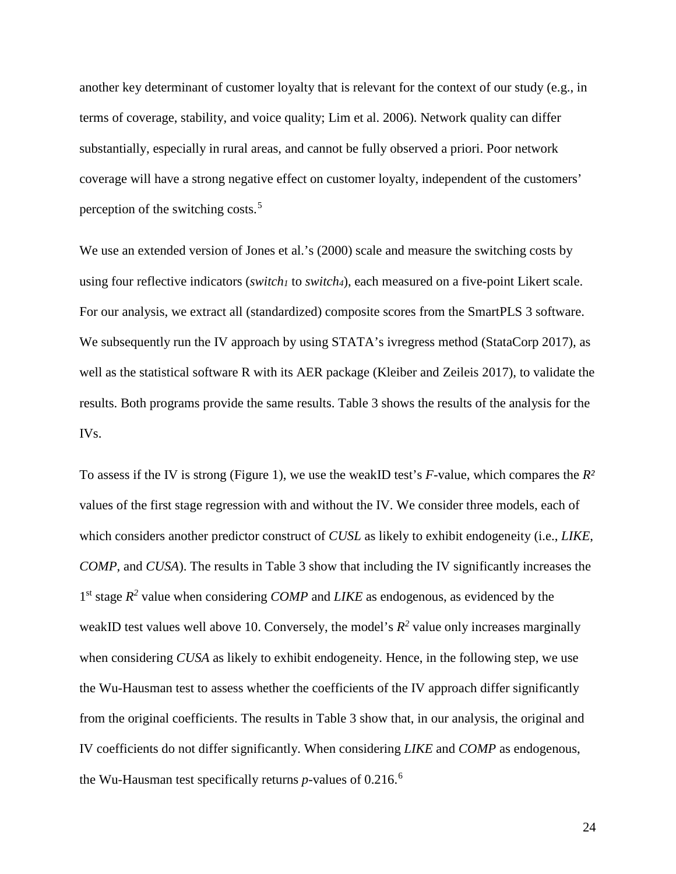another key determinant of customer loyalty that is relevant for the context of our study (e.g., in terms of coverage, stability, and voice quality; Lim et al. 2006). Network quality can differ substantially, especially in rural areas, and cannot be fully observed a priori. Poor network coverage will have a strong negative effect on customer loyalty, independent of the customers' perception of the switching costs.<sup>[5](#page-51-4)</sup>

We use an extended version of Jones et al.'s (2000) scale and measure the switching costs by using four reflective indicators (*switch1* to *switch4*), each measured on a five-point Likert scale. For our analysis, we extract all (standardized) composite scores from the SmartPLS 3 software. We subsequently run the IV approach by using STATA's ivregress method (StataCorp 2017), as well as the statistical software R with its AER package (Kleiber and Zeileis 2017), to validate the results. Both programs provide the same results. Table 3 shows the results of the analysis for the IVs.

To assess if the IV is strong (Figure 1), we use the weakID test's *F*-value, which compares the *R²* values of the first stage regression with and without the IV. We consider three models, each of which considers another predictor construct of *CUSL* as likely to exhibit endogeneity (i.e., *LIKE*, *COMP*, and *CUSA*). The results in Table 3 show that including the IV significantly increases the 1<sup>st</sup> stage  $R^2$  value when considering *COMP* and *LIKE* as endogenous, as evidenced by the weakID test values well above 10. Conversely, the model's  $R^2$  value only increases marginally when considering *CUSA* as likely to exhibit endogeneity. Hence, in the following step, we use the Wu-Hausman test to assess whether the coefficients of the IV approach differ significantly from the original coefficients. The results in Table 3 show that, in our analysis, the original and IV coefficients do not differ significantly. When considering *LIKE* and *COMP* as endogenous, the Wu-Hausman test specifically returns *p*-values of 0.216.[6](#page-51-5)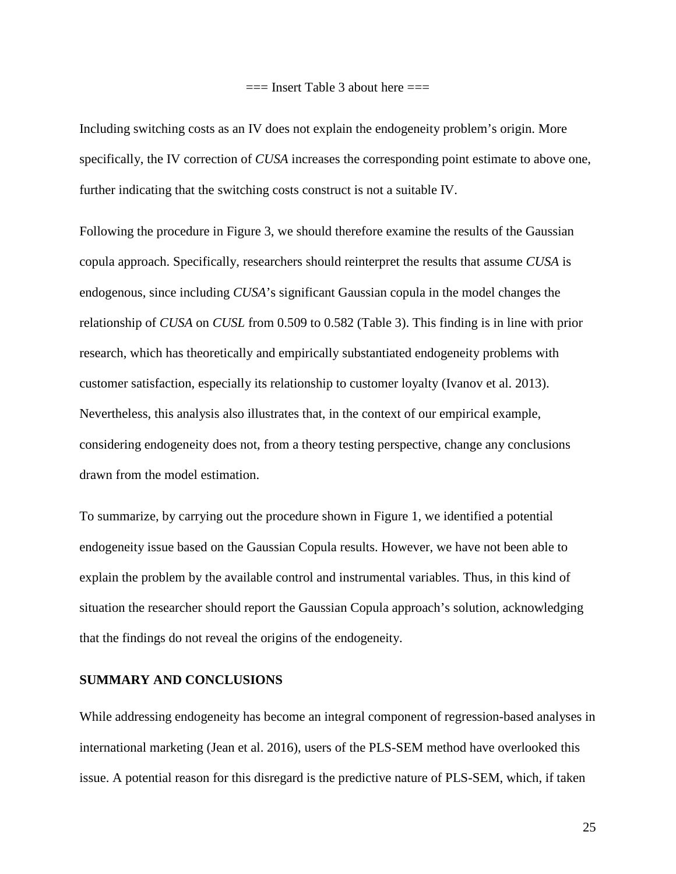$==$  Insert Table 3 about here  $==$ 

Including switching costs as an IV does not explain the endogeneity problem's origin. More specifically, the IV correction of *CUSA* increases the corresponding point estimate to above one, further indicating that the switching costs construct is not a suitable IV.

Following the procedure in Figure 3, we should therefore examine the results of the Gaussian copula approach. Specifically, researchers should reinterpret the results that assume *CUSA* is endogenous, since including *CUSA*'s significant Gaussian copula in the model changes the relationship of *CUSA* on *CUSL* from 0.509 to 0.582 (Table 3). This finding is in line with prior research, which has theoretically and empirically substantiated endogeneity problems with customer satisfaction, especially its relationship to customer loyalty (Ivanov et al. 2013). Nevertheless, this analysis also illustrates that, in the context of our empirical example, considering endogeneity does not, from a theory testing perspective, change any conclusions drawn from the model estimation.

To summarize, by carrying out the procedure shown in Figure 1, we identified a potential endogeneity issue based on the Gaussian Copula results. However, we have not been able to explain the problem by the available control and instrumental variables. Thus, in this kind of situation the researcher should report the Gaussian Copula approach's solution, acknowledging that the findings do not reveal the origins of the endogeneity.

# **SUMMARY AND CONCLUSIONS**

While addressing endogeneity has become an integral component of regression-based analyses in international marketing (Jean et al. 2016), users of the PLS-SEM method have overlooked this issue. A potential reason for this disregard is the predictive nature of PLS-SEM, which, if taken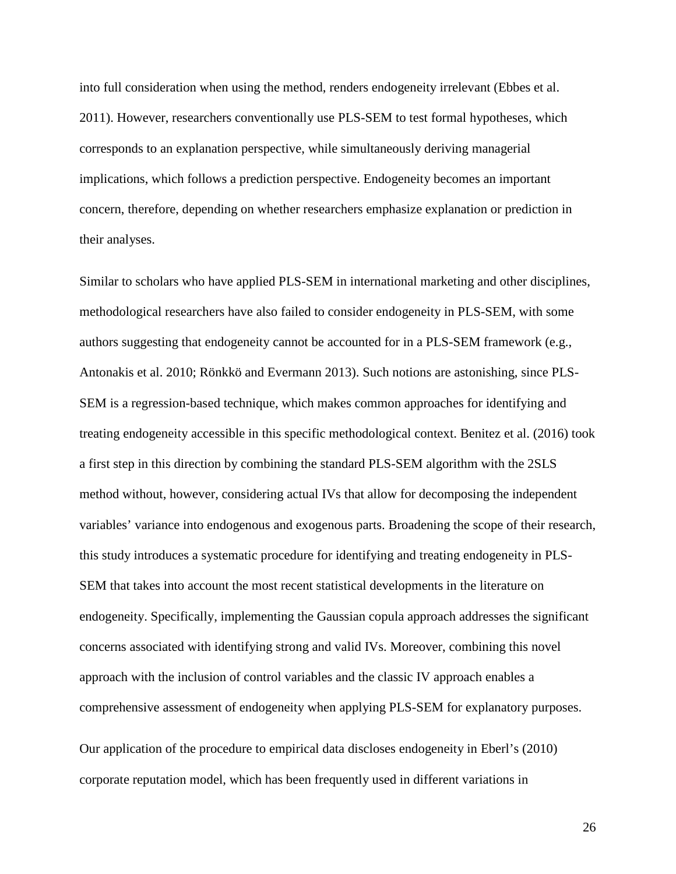into full consideration when using the method, renders endogeneity irrelevant (Ebbes et al. 2011). However, researchers conventionally use PLS-SEM to test formal hypotheses, which corresponds to an explanation perspective, while simultaneously deriving managerial implications, which follows a prediction perspective. Endogeneity becomes an important concern, therefore, depending on whether researchers emphasize explanation or prediction in their analyses.

Similar to scholars who have applied PLS-SEM in international marketing and other disciplines, methodological researchers have also failed to consider endogeneity in PLS-SEM, with some authors suggesting that endogeneity cannot be accounted for in a PLS-SEM framework (e.g., Antonakis et al. 2010; Rönkkö and Evermann 2013). Such notions are astonishing, since PLS-SEM is a regression-based technique, which makes common approaches for identifying and treating endogeneity accessible in this specific methodological context. Benitez et al. (2016) took a first step in this direction by combining the standard PLS-SEM algorithm with the 2SLS method without, however, considering actual IVs that allow for decomposing the independent variables' variance into endogenous and exogenous parts. Broadening the scope of their research, this study introduces a systematic procedure for identifying and treating endogeneity in PLS-SEM that takes into account the most recent statistical developments in the literature on endogeneity. Specifically, implementing the Gaussian copula approach addresses the significant concerns associated with identifying strong and valid IVs. Moreover, combining this novel approach with the inclusion of control variables and the classic IV approach enables a comprehensive assessment of endogeneity when applying PLS-SEM for explanatory purposes.

Our application of the procedure to empirical data discloses endogeneity in Eberl's (2010) corporate reputation model, which has been frequently used in different variations in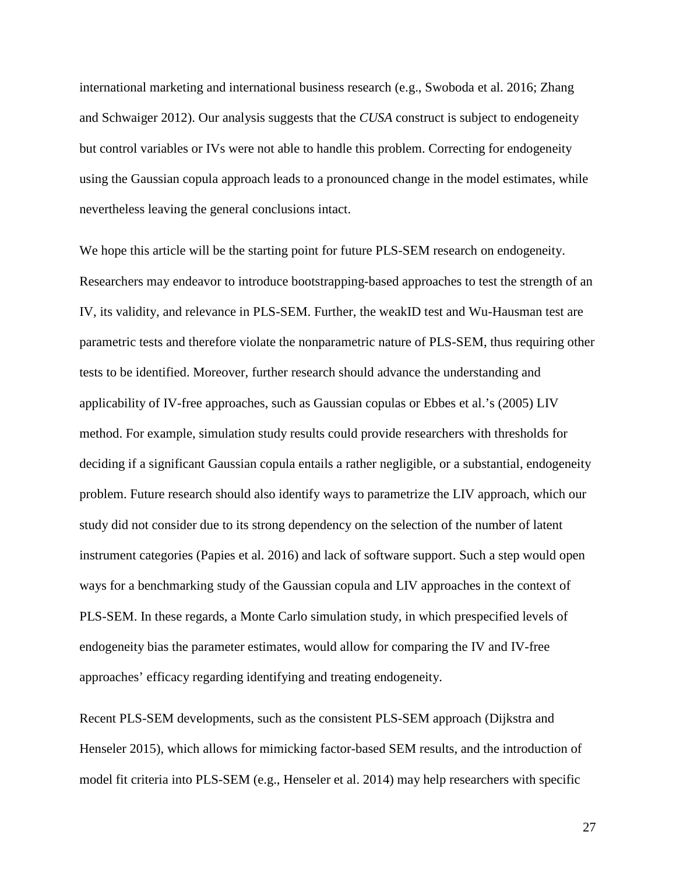international marketing and international business research (e.g., Swoboda et al. 2016; Zhang and Schwaiger 2012). Our analysis suggests that the *CUSA* construct is subject to endogeneity but control variables or IVs were not able to handle this problem. Correcting for endogeneity using the Gaussian copula approach leads to a pronounced change in the model estimates, while nevertheless leaving the general conclusions intact.

We hope this article will be the starting point for future PLS-SEM research on endogeneity. Researchers may endeavor to introduce bootstrapping-based approaches to test the strength of an IV, its validity, and relevance in PLS-SEM. Further, the weakID test and Wu-Hausman test are parametric tests and therefore violate the nonparametric nature of PLS-SEM, thus requiring other tests to be identified. Moreover, further research should advance the understanding and applicability of IV-free approaches, such as Gaussian copulas or Ebbes et al.'s (2005) LIV method. For example, simulation study results could provide researchers with thresholds for deciding if a significant Gaussian copula entails a rather negligible, or a substantial, endogeneity problem. Future research should also identify ways to parametrize the LIV approach, which our study did not consider due to its strong dependency on the selection of the number of latent instrument categories (Papies et al. 2016) and lack of software support. Such a step would open ways for a benchmarking study of the Gaussian copula and LIV approaches in the context of PLS-SEM. In these regards, a Monte Carlo simulation study, in which prespecified levels of endogeneity bias the parameter estimates, would allow for comparing the IV and IV-free approaches' efficacy regarding identifying and treating endogeneity.

Recent PLS-SEM developments, such as the consistent PLS-SEM approach (Dijkstra and Henseler 2015), which allows for mimicking factor-based SEM results, and the introduction of model fit criteria into PLS-SEM (e.g., Henseler et al. 2014) may help researchers with specific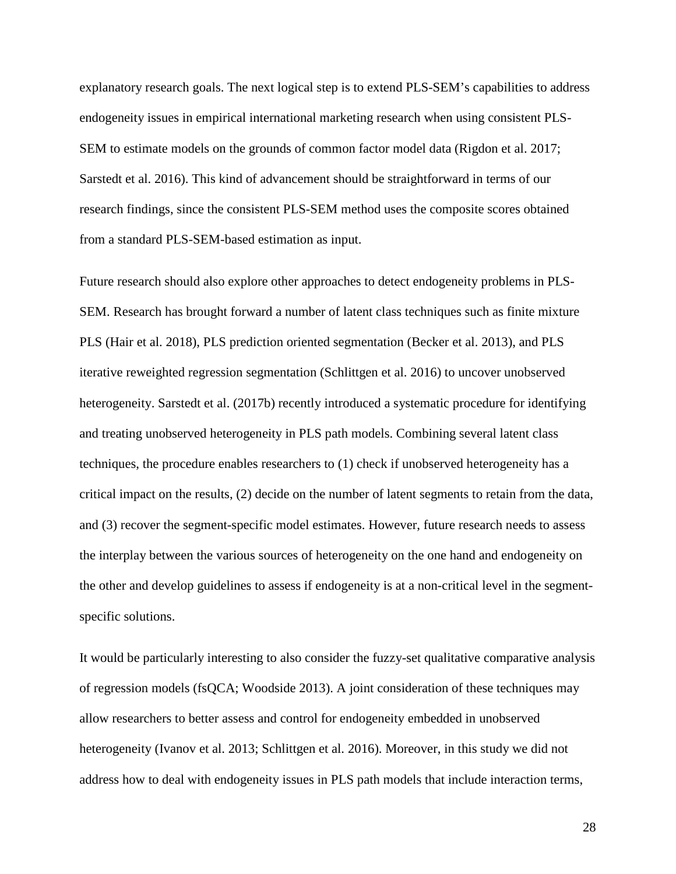explanatory research goals. The next logical step is to extend PLS-SEM's capabilities to address endogeneity issues in empirical international marketing research when using consistent PLS-SEM to estimate models on the grounds of common factor model data (Rigdon et al. 2017; Sarstedt et al. 2016). This kind of advancement should be straightforward in terms of our research findings, since the consistent PLS-SEM method uses the composite scores obtained from a standard PLS-SEM-based estimation as input.

Future research should also explore other approaches to detect endogeneity problems in PLS-SEM. Research has brought forward a number of latent class techniques such as finite mixture PLS (Hair et al. 2018), PLS prediction oriented segmentation (Becker et al. 2013), and PLS iterative reweighted regression segmentation (Schlittgen et al. 2016) to uncover unobserved heterogeneity. Sarstedt et al. (2017b) recently introduced a systematic procedure for identifying and treating unobserved heterogeneity in PLS path models. Combining several latent class techniques, the procedure enables researchers to (1) check if unobserved heterogeneity has a critical impact on the results, (2) decide on the number of latent segments to retain from the data, and (3) recover the segment-specific model estimates. However, future research needs to assess the interplay between the various sources of heterogeneity on the one hand and endogeneity on the other and develop guidelines to assess if endogeneity is at a non-critical level in the segmentspecific solutions.

It would be particularly interesting to also consider the fuzzy-set qualitative comparative analysis of regression models (fsQCA; Woodside 2013). A joint consideration of these techniques may allow researchers to better assess and control for endogeneity embedded in unobserved heterogeneity (Ivanov et al. 2013; Schlittgen et al. 2016). Moreover, in this study we did not address how to deal with endogeneity issues in PLS path models that include interaction terms,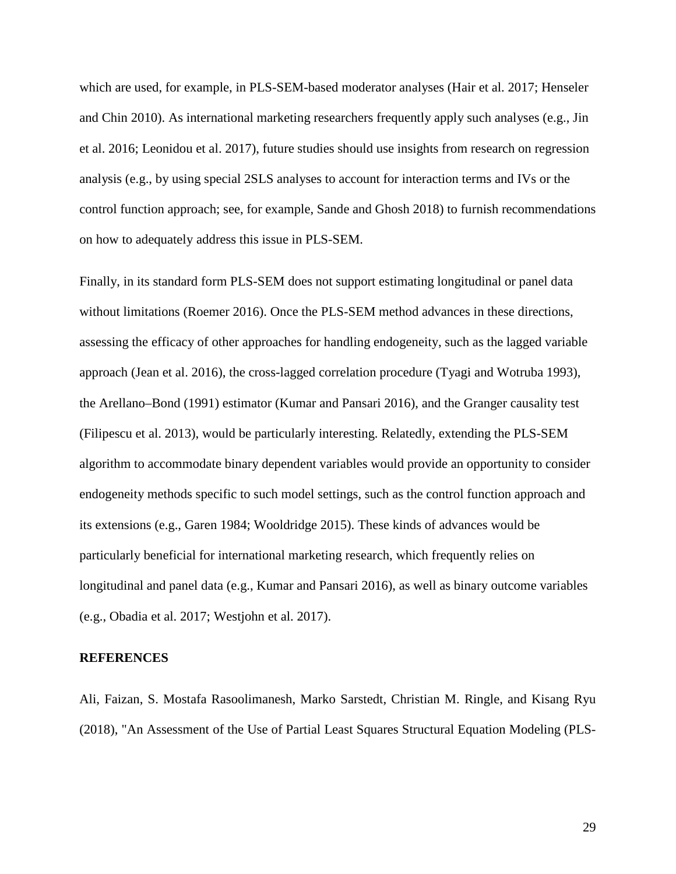which are used, for example, in PLS-SEM-based moderator analyses (Hair et al. 2017; Henseler and Chin 2010). As international marketing researchers frequently apply such analyses (e.g., Jin et al. 2016; Leonidou et al. 2017), future studies should use insights from research on regression analysis (e.g., by using special 2SLS analyses to account for interaction terms and IVs or the control function approach; see, for example, Sande and Ghosh 2018) to furnish recommendations on how to adequately address this issue in PLS-SEM.

Finally, in its standard form PLS-SEM does not support estimating longitudinal or panel data without limitations (Roemer 2016). Once the PLS-SEM method advances in these directions, assessing the efficacy of other approaches for handling endogeneity, such as the lagged variable approach (Jean et al. 2016), the cross-lagged correlation procedure (Tyagi and Wotruba 1993), the Arellano–Bond (1991) estimator (Kumar and Pansari 2016), and the Granger causality test (Filipescu et al. 2013), would be particularly interesting. Relatedly, extending the PLS-SEM algorithm to accommodate binary dependent variables would provide an opportunity to consider endogeneity methods specific to such model settings, such as the control function approach and its extensions (e.g., Garen 1984; Wooldridge 2015). These kinds of advances would be particularly beneficial for international marketing research, which frequently relies on longitudinal and panel data (e.g., Kumar and Pansari 2016), as well as binary outcome variables (e.g., Obadia et al. 2017; Westjohn et al. 2017).

# **REFERENCES**

Ali, Faizan, S. Mostafa Rasoolimanesh, Marko Sarstedt, Christian M. Ringle, and Kisang Ryu (2018), "An Assessment of the Use of Partial Least Squares Structural Equation Modeling (PLS-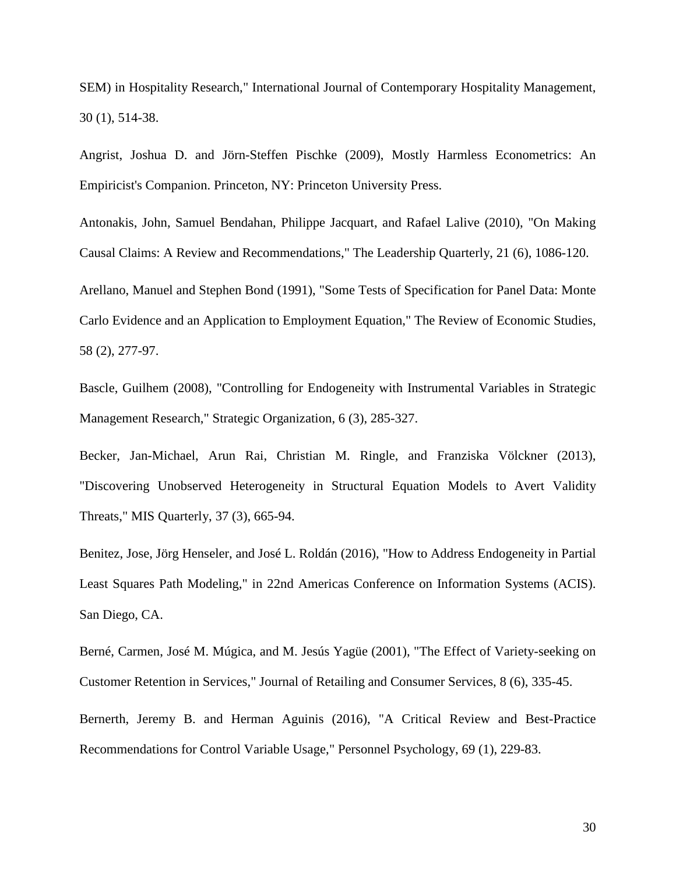SEM) in Hospitality Research," International Journal of Contemporary Hospitality Management, 30 (1), 514-38.

Angrist, Joshua D. and Jörn-Steffen Pischke (2009), Mostly Harmless Econometrics: An Empiricist's Companion. Princeton, NY: Princeton University Press.

Antonakis, John, Samuel Bendahan, Philippe Jacquart, and Rafael Lalive (2010), "On Making Causal Claims: A Review and Recommendations," The Leadership Quarterly, 21 (6), 1086-120.

Arellano, Manuel and Stephen Bond (1991), "Some Tests of Specification for Panel Data: Monte Carlo Evidence and an Application to Employment Equation," The Review of Economic Studies, 58 (2), 277-97.

Bascle, Guilhem (2008), "Controlling for Endogeneity with Instrumental Variables in Strategic Management Research," Strategic Organization, 6 (3), 285-327.

Becker, Jan-Michael, Arun Rai, Christian M. Ringle, and Franziska Völckner (2013), "Discovering Unobserved Heterogeneity in Structural Equation Models to Avert Validity Threats," MIS Quarterly, 37 (3), 665-94.

Benitez, Jose, Jörg Henseler, and José L. Roldán (2016), "How to Address Endogeneity in Partial Least Squares Path Modeling," in 22nd Americas Conference on Information Systems (ACIS). San Diego, CA.

Berné, Carmen, José M. Múgica, and M. Jesús Yagüe (2001), "The Effect of Variety-seeking on Customer Retention in Services," Journal of Retailing and Consumer Services, 8 (6), 335-45.

Bernerth, Jeremy B. and Herman Aguinis (2016), "A Critical Review and Best-Practice Recommendations for Control Variable Usage," Personnel Psychology, 69 (1), 229-83.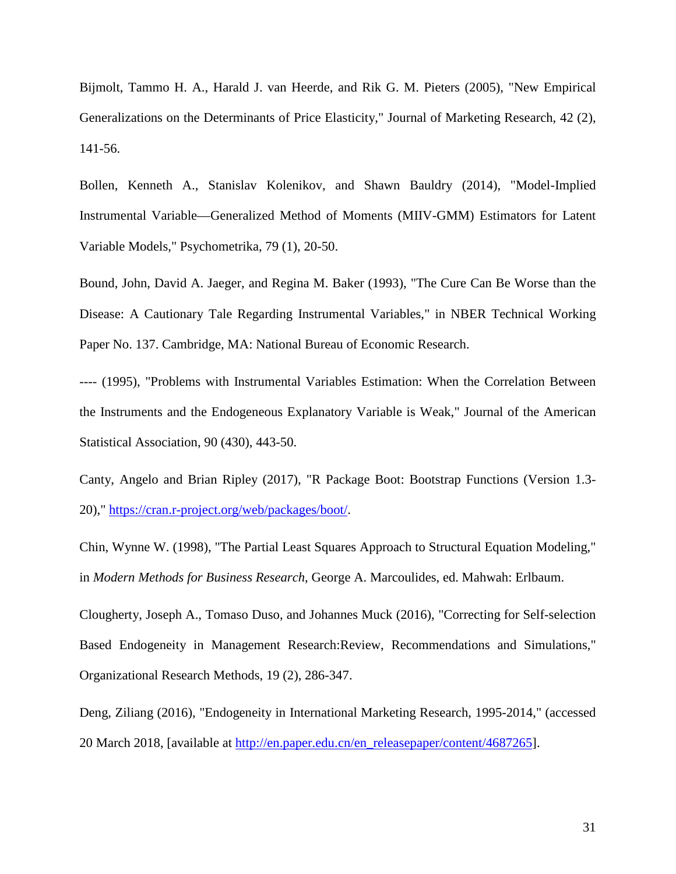Bijmolt, Tammo H. A., Harald J. van Heerde, and Rik G. M. Pieters (2005), "New Empirical Generalizations on the Determinants of Price Elasticity," Journal of Marketing Research, 42 (2), 141-56.

Bollen, Kenneth A., Stanislav Kolenikov, and Shawn Bauldry (2014), "Model-Implied Instrumental Variable—Generalized Method of Moments (MIIV-GMM) Estimators for Latent Variable Models," Psychometrika, 79 (1), 20-50.

Bound, John, David A. Jaeger, and Regina M. Baker (1993), "The Cure Can Be Worse than the Disease: A Cautionary Tale Regarding Instrumental Variables," in NBER Technical Working Paper No. 137. Cambridge, MA: National Bureau of Economic Research.

---- (1995), "Problems with Instrumental Variables Estimation: When the Correlation Between the Instruments and the Endogeneous Explanatory Variable is Weak," Journal of the American Statistical Association, 90 (430), 443-50.

Canty, Angelo and Brian Ripley (2017), "R Package Boot: Bootstrap Functions (Version 1.3- 20)," [https://cran.r-project.org/web/packages/boot/.](https://cran.r-project.org/web/packages/boot/)

Chin, Wynne W. (1998), "The Partial Least Squares Approach to Structural Equation Modeling," in *Modern Methods for Business Research*, George A. Marcoulides, ed. Mahwah: Erlbaum.

Clougherty, Joseph A., Tomaso Duso, and Johannes Muck (2016), "Correcting for Self-selection Based Endogeneity in Management Research:Review, Recommendations and Simulations," Organizational Research Methods, 19 (2), 286-347.

Deng, Ziliang (2016), "Endogeneity in International Marketing Research, 1995-2014," (accessed 20 March 2018, [available at [http://en.paper.edu.cn/en\\_releasepaper/content/4687265\]](http://en.paper.edu.cn/en_releasepaper/content/4687265).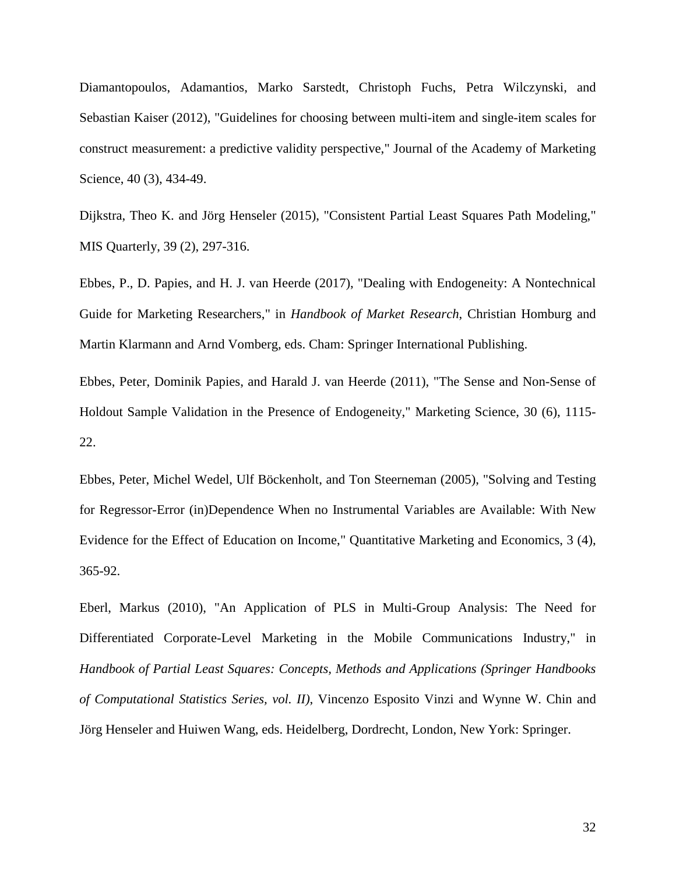Diamantopoulos, Adamantios, Marko Sarstedt, Christoph Fuchs, Petra Wilczynski, and Sebastian Kaiser (2012), "Guidelines for choosing between multi-item and single-item scales for construct measurement: a predictive validity perspective," Journal of the Academy of Marketing Science, 40 (3), 434-49.

Dijkstra, Theo K. and Jörg Henseler (2015), "Consistent Partial Least Squares Path Modeling," MIS Quarterly, 39 (2), 297-316.

Ebbes, P., D. Papies, and H. J. van Heerde (2017), "Dealing with Endogeneity: A Nontechnical Guide for Marketing Researchers," in *Handbook of Market Research*, Christian Homburg and Martin Klarmann and Arnd Vomberg, eds. Cham: Springer International Publishing.

Ebbes, Peter, Dominik Papies, and Harald J. van Heerde (2011), "The Sense and Non-Sense of Holdout Sample Validation in the Presence of Endogeneity," Marketing Science, 30 (6), 1115- 22.

Ebbes, Peter, Michel Wedel, Ulf Böckenholt, and Ton Steerneman (2005), "Solving and Testing for Regressor-Error (in)Dependence When no Instrumental Variables are Available: With New Evidence for the Effect of Education on Income," Quantitative Marketing and Economics, 3 (4), 365-92.

Eberl, Markus (2010), "An Application of PLS in Multi-Group Analysis: The Need for Differentiated Corporate-Level Marketing in the Mobile Communications Industry," in *Handbook of Partial Least Squares: Concepts, Methods and Applications (Springer Handbooks of Computational Statistics Series, vol. II)*, Vincenzo Esposito Vinzi and Wynne W. Chin and Jörg Henseler and Huiwen Wang, eds. Heidelberg, Dordrecht, London, New York: Springer.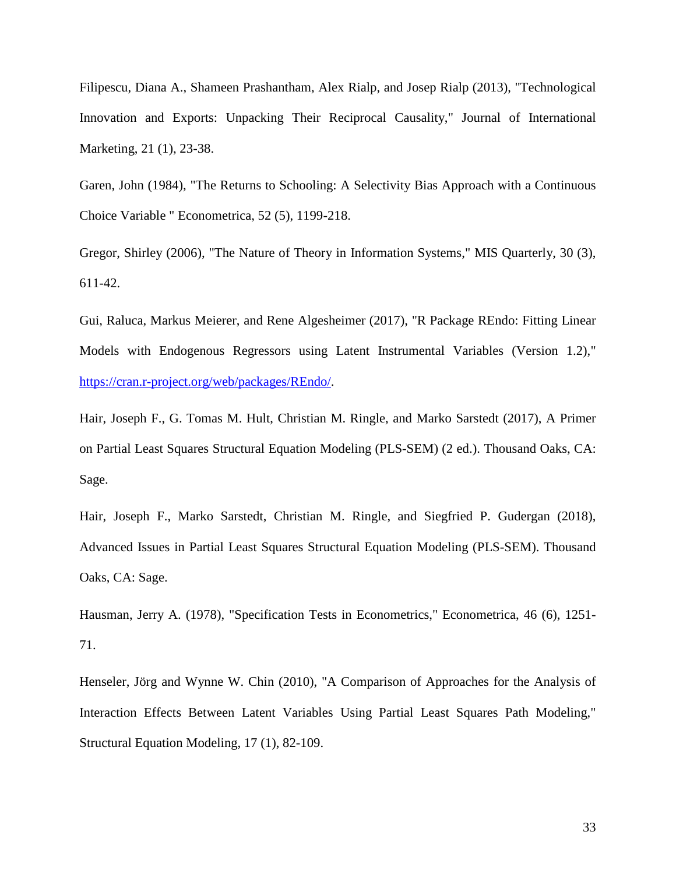Filipescu, Diana A., Shameen Prashantham, Alex Rialp, and Josep Rialp (2013), "Technological Innovation and Exports: Unpacking Their Reciprocal Causality," Journal of International Marketing, 21 (1), 23-38.

Garen, John (1984), "The Returns to Schooling: A Selectivity Bias Approach with a Continuous Choice Variable " Econometrica, 52 (5), 1199-218.

Gregor, Shirley (2006), "The Nature of Theory in Information Systems," MIS Quarterly, 30 (3), 611-42.

Gui, Raluca, Markus Meierer, and Rene Algesheimer (2017), "R Package REndo: Fitting Linear Models with Endogenous Regressors using Latent Instrumental Variables (Version 1.2)," [https://cran.r-project.org/web/packages/REndo/.](https://cran.r-project.org/web/packages/REndo/)

Hair, Joseph F., G. Tomas M. Hult, Christian M. Ringle, and Marko Sarstedt (2017), A Primer on Partial Least Squares Structural Equation Modeling (PLS-SEM) (2 ed.). Thousand Oaks, CA: Sage.

Hair, Joseph F., Marko Sarstedt, Christian M. Ringle, and Siegfried P. Gudergan (2018), Advanced Issues in Partial Least Squares Structural Equation Modeling (PLS-SEM). Thousand Oaks, CA: Sage.

Hausman, Jerry A. (1978), "Specification Tests in Econometrics," Econometrica, 46 (6), 1251- 71.

Henseler, Jörg and Wynne W. Chin (2010), "A Comparison of Approaches for the Analysis of Interaction Effects Between Latent Variables Using Partial Least Squares Path Modeling," Structural Equation Modeling, 17 (1), 82-109.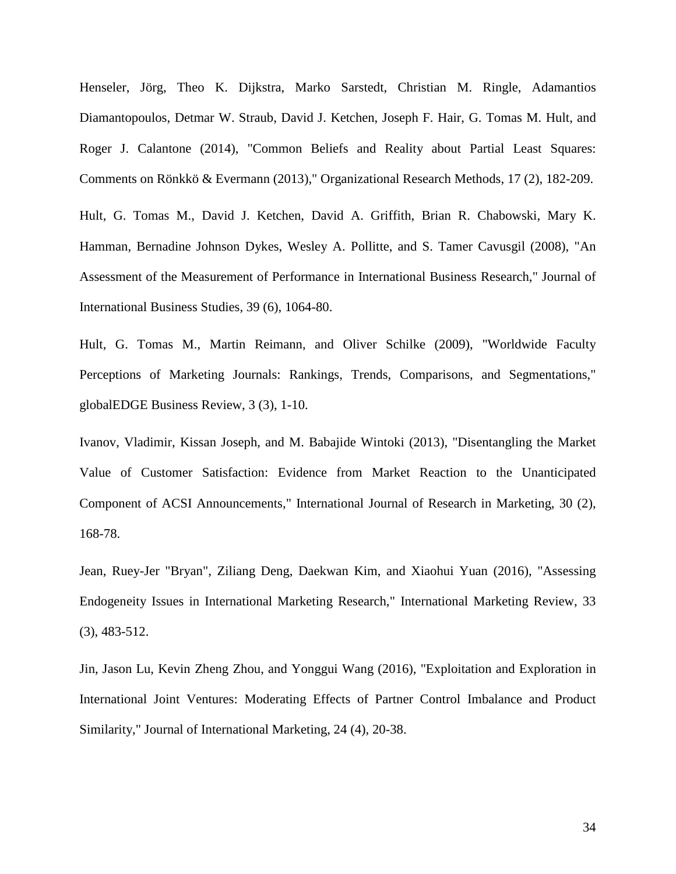Henseler, Jörg, Theo K. Dijkstra, Marko Sarstedt, Christian M. Ringle, Adamantios Diamantopoulos, Detmar W. Straub, David J. Ketchen, Joseph F. Hair, G. Tomas M. Hult, and Roger J. Calantone (2014), "Common Beliefs and Reality about Partial Least Squares: Comments on Rönkkö & Evermann (2013)," Organizational Research Methods, 17 (2), 182-209.

Hult, G. Tomas M., David J. Ketchen, David A. Griffith, Brian R. Chabowski, Mary K. Hamman, Bernadine Johnson Dykes, Wesley A. Pollitte, and S. Tamer Cavusgil (2008), "An Assessment of the Measurement of Performance in International Business Research," Journal of International Business Studies, 39 (6), 1064-80.

Hult, G. Tomas M., Martin Reimann, and Oliver Schilke (2009), "Worldwide Faculty Perceptions of Marketing Journals: Rankings, Trends, Comparisons, and Segmentations," globalEDGE Business Review, 3 (3), 1-10.

Ivanov, Vladimir, Kissan Joseph, and M. Babajide Wintoki (2013), "Disentangling the Market Value of Customer Satisfaction: Evidence from Market Reaction to the Unanticipated Component of ACSI Announcements," International Journal of Research in Marketing, 30 (2), 168-78.

Jean, Ruey-Jer "Bryan", Ziliang Deng, Daekwan Kim, and Xiaohui Yuan (2016), "Assessing Endogeneity Issues in International Marketing Research," International Marketing Review, 33 (3), 483-512.

Jin, Jason Lu, Kevin Zheng Zhou, and Yonggui Wang (2016), "Exploitation and Exploration in International Joint Ventures: Moderating Effects of Partner Control Imbalance and Product Similarity," Journal of International Marketing, 24 (4), 20-38.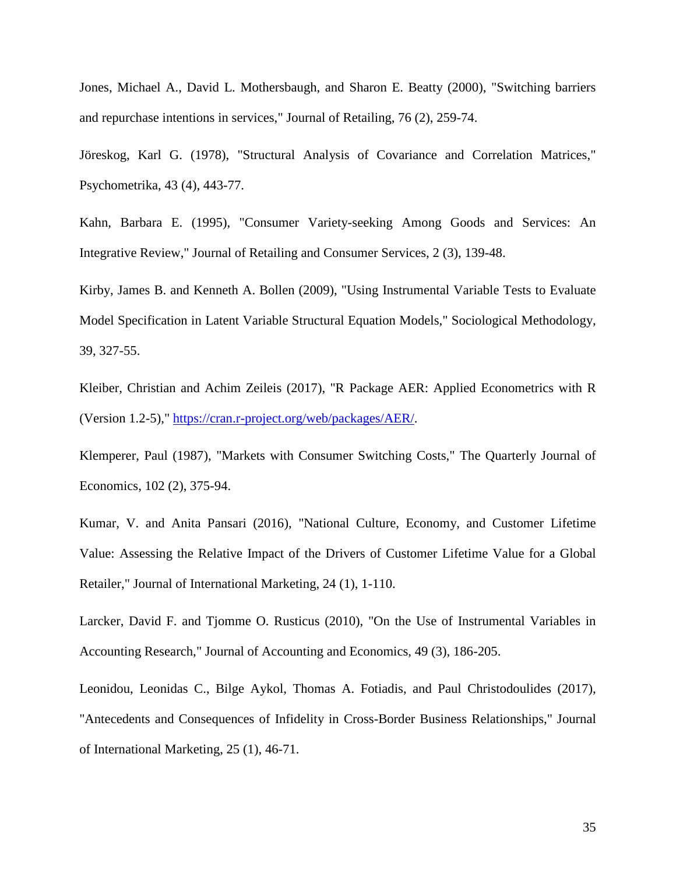Jones, Michael A., David L. Mothersbaugh, and Sharon E. Beatty (2000), "Switching barriers and repurchase intentions in services," Journal of Retailing, 76 (2), 259-74.

Jöreskog, Karl G. (1978), "Structural Analysis of Covariance and Correlation Matrices," Psychometrika, 43 (4), 443-77.

Kahn, Barbara E. (1995), "Consumer Variety-seeking Among Goods and Services: An Integrative Review," Journal of Retailing and Consumer Services, 2 (3), 139-48.

Kirby, James B. and Kenneth A. Bollen (2009), "Using Instrumental Variable Tests to Evaluate Model Specification in Latent Variable Structural Equation Models," Sociological Methodology, 39, 327-55.

Kleiber, Christian and Achim Zeileis (2017), "R Package AER: Applied Econometrics with R (Version 1.2-5)," [https://cran.r-project.org/web/packages/AER/.](https://cran.r-project.org/web/packages/AER/)

Klemperer, Paul (1987), "Markets with Consumer Switching Costs," The Quarterly Journal of Economics, 102 (2), 375-94.

Kumar, V. and Anita Pansari (2016), "National Culture, Economy, and Customer Lifetime Value: Assessing the Relative Impact of the Drivers of Customer Lifetime Value for a Global Retailer," Journal of International Marketing, 24 (1), 1-110.

Larcker, David F. and Tjomme O. Rusticus (2010), "On the Use of Instrumental Variables in Accounting Research," Journal of Accounting and Economics, 49 (3), 186-205.

Leonidou, Leonidas C., Bilge Aykol, Thomas A. Fotiadis, and Paul Christodoulides (2017), "Antecedents and Consequences of Infidelity in Cross-Border Business Relationships," Journal of International Marketing, 25 (1), 46-71.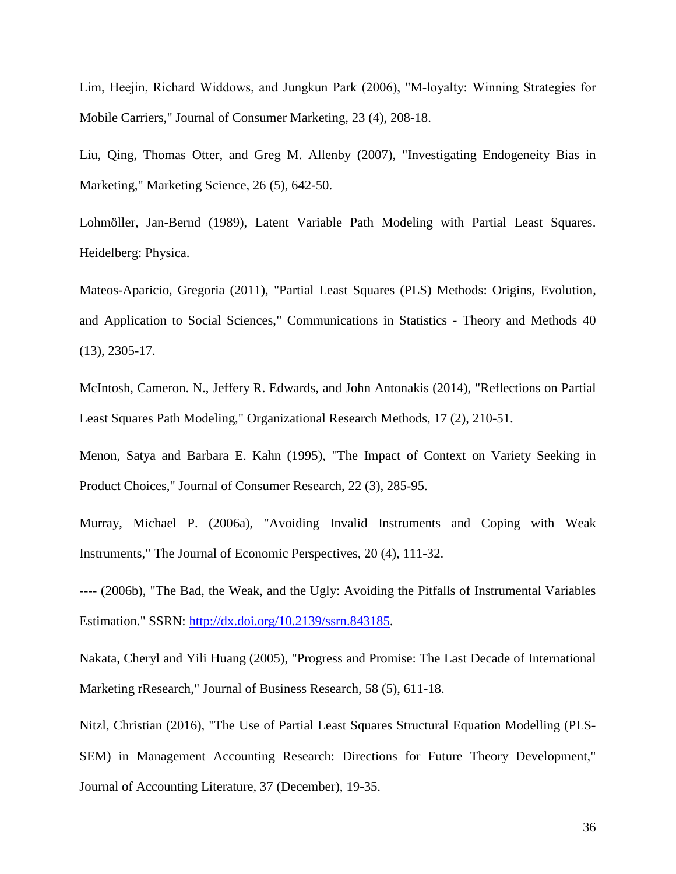Lim, Heejin, Richard Widdows, and Jungkun Park (2006), "M-loyalty: Winning Strategies for Mobile Carriers," Journal of Consumer Marketing, 23 (4), 208-18.

Liu, Qing, Thomas Otter, and Greg M. Allenby (2007), "Investigating Endogeneity Bias in Marketing," Marketing Science, 26 (5), 642-50.

Lohmöller, Jan-Bernd (1989), Latent Variable Path Modeling with Partial Least Squares. Heidelberg: Physica.

Mateos-Aparicio, Gregoria (2011), "Partial Least Squares (PLS) Methods: Origins, Evolution, and Application to Social Sciences," Communications in Statistics - Theory and Methods 40 (13), 2305-17.

McIntosh, Cameron. N., Jeffery R. Edwards, and John Antonakis (2014), "Reflections on Partial Least Squares Path Modeling," Organizational Research Methods, 17 (2), 210-51.

Menon, Satya and Barbara E. Kahn (1995), "The Impact of Context on Variety Seeking in Product Choices," Journal of Consumer Research, 22 (3), 285-95.

Murray, Michael P. (2006a), "Avoiding Invalid Instruments and Coping with Weak Instruments," The Journal of Economic Perspectives, 20 (4), 111-32.

---- (2006b), "The Bad, the Weak, and the Ugly: Avoiding the Pitfalls of Instrumental Variables Estimation." SSRN: [http://dx.doi.org/10.2139/ssrn.843185.](http://dx.doi.org/10.2139/ssrn.843185)

Nakata, Cheryl and Yili Huang (2005), "Progress and Promise: The Last Decade of International Marketing rResearch," Journal of Business Research, 58 (5), 611-18.

Nitzl, Christian (2016), "The Use of Partial Least Squares Structural Equation Modelling (PLS-SEM) in Management Accounting Research: Directions for Future Theory Development," Journal of Accounting Literature, 37 (December), 19-35.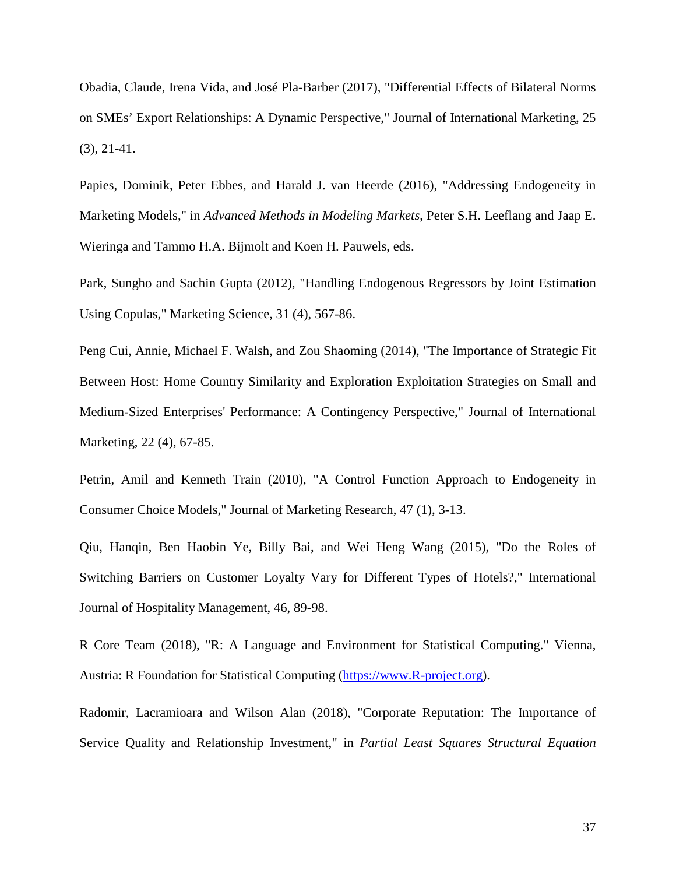Obadia, Claude, Irena Vida, and José Pla-Barber (2017), "Differential Effects of Bilateral Norms on SMEs' Export Relationships: A Dynamic Perspective," Journal of International Marketing, 25 (3), 21-41.

Papies, Dominik, Peter Ebbes, and Harald J. van Heerde (2016), "Addressing Endogeneity in Marketing Models," in *Advanced Methods in Modeling Markets*, Peter S.H. Leeflang and Jaap E. Wieringa and Tammo H.A. Bijmolt and Koen H. Pauwels, eds.

Park, Sungho and Sachin Gupta (2012), "Handling Endogenous Regressors by Joint Estimation Using Copulas," Marketing Science, 31 (4), 567-86.

Peng Cui, Annie, Michael F. Walsh, and Zou Shaoming (2014), "The Importance of Strategic Fit Between Host: Home Country Similarity and Exploration Exploitation Strategies on Small and Medium-Sized Enterprises' Performance: A Contingency Perspective," Journal of International Marketing, 22 (4), 67-85.

Petrin, Amil and Kenneth Train (2010), "A Control Function Approach to Endogeneity in Consumer Choice Models," Journal of Marketing Research, 47 (1), 3-13.

Qiu, Hanqin, Ben Haobin Ye, Billy Bai, and Wei Heng Wang (2015), "Do the Roles of Switching Barriers on Customer Loyalty Vary for Different Types of Hotels?," International Journal of Hospitality Management, 46, 89-98.

R Core Team (2018), "R: A Language and Environment for Statistical Computing." Vienna, Austria: R Foundation for Statistical Computing [\(https://www.R-project.org\)](https://www.r-project.org/).

Radomir, Lacramioara and Wilson Alan (2018), "Corporate Reputation: The Importance of Service Quality and Relationship Investment," in *Partial Least Squares Structural Equation*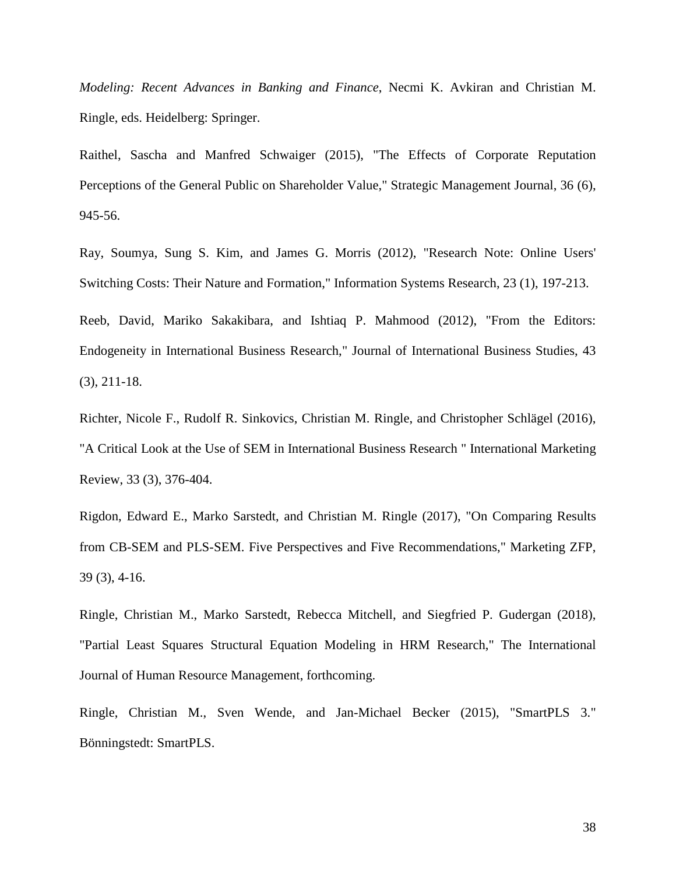*Modeling: Recent Advances in Banking and Finance*, Necmi K. Avkiran and Christian M. Ringle, eds. Heidelberg: Springer.

Raithel, Sascha and Manfred Schwaiger (2015), "The Effects of Corporate Reputation Perceptions of the General Public on Shareholder Value," Strategic Management Journal, 36 (6), 945-56.

Ray, Soumya, Sung S. Kim, and James G. Morris (2012), "Research Note: Online Users' Switching Costs: Their Nature and Formation," Information Systems Research, 23 (1), 197-213.

Reeb, David, Mariko Sakakibara, and Ishtiaq P. Mahmood (2012), "From the Editors: Endogeneity in International Business Research," Journal of International Business Studies, 43 (3), 211-18.

Richter, Nicole F., Rudolf R. Sinkovics, Christian M. Ringle, and Christopher Schlägel (2016), "A Critical Look at the Use of SEM in International Business Research " International Marketing Review, 33 (3), 376-404.

Rigdon, Edward E., Marko Sarstedt, and Christian M. Ringle (2017), "On Comparing Results from CB-SEM and PLS-SEM. Five Perspectives and Five Recommendations," Marketing ZFP, 39 (3), 4-16.

Ringle, Christian M., Marko Sarstedt, Rebecca Mitchell, and Siegfried P. Gudergan (2018), "Partial Least Squares Structural Equation Modeling in HRM Research," The International Journal of Human Resource Management, forthcoming.

Ringle, Christian M., Sven Wende, and Jan-Michael Becker (2015), "SmartPLS 3." Bönningstedt: SmartPLS.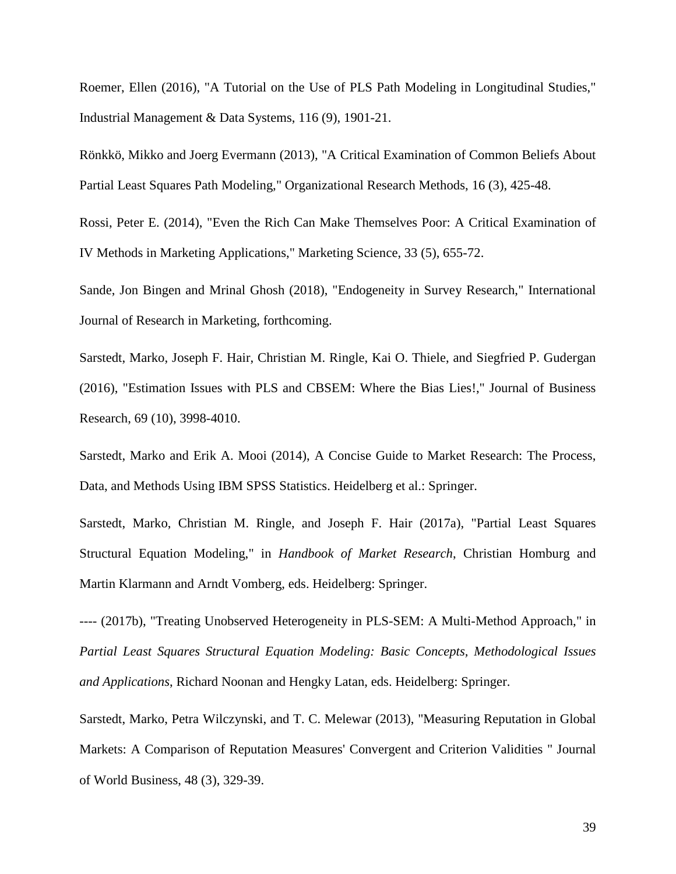Roemer, Ellen (2016), "A Tutorial on the Use of PLS Path Modeling in Longitudinal Studies," Industrial Management & Data Systems, 116 (9), 1901-21.

Rönkkö, Mikko and Joerg Evermann (2013), "A Critical Examination of Common Beliefs About Partial Least Squares Path Modeling," Organizational Research Methods, 16 (3), 425-48.

Rossi, Peter E. (2014), "Even the Rich Can Make Themselves Poor: A Critical Examination of IV Methods in Marketing Applications," Marketing Science, 33 (5), 655-72.

Sande, Jon Bingen and Mrinal Ghosh (2018), "Endogeneity in Survey Research," International Journal of Research in Marketing, forthcoming.

Sarstedt, Marko, Joseph F. Hair, Christian M. Ringle, Kai O. Thiele, and Siegfried P. Gudergan (2016), "Estimation Issues with PLS and CBSEM: Where the Bias Lies!," Journal of Business Research, 69 (10), 3998-4010.

Sarstedt, Marko and Erik A. Mooi (2014), A Concise Guide to Market Research: The Process, Data, and Methods Using IBM SPSS Statistics. Heidelberg et al.: Springer.

Sarstedt, Marko, Christian M. Ringle, and Joseph F. Hair (2017a), "Partial Least Squares Structural Equation Modeling," in *Handbook of Market Research*, Christian Homburg and Martin Klarmann and Arndt Vomberg, eds. Heidelberg: Springer.

---- (2017b), "Treating Unobserved Heterogeneity in PLS-SEM: A Multi-Method Approach," in *Partial Least Squares Structural Equation Modeling: Basic Concepts, Methodological Issues and Applications*, Richard Noonan and Hengky Latan, eds. Heidelberg: Springer.

Sarstedt, Marko, Petra Wilczynski, and T. C. Melewar (2013), "Measuring Reputation in Global Markets: A Comparison of Reputation Measures' Convergent and Criterion Validities " Journal of World Business, 48 (3), 329-39.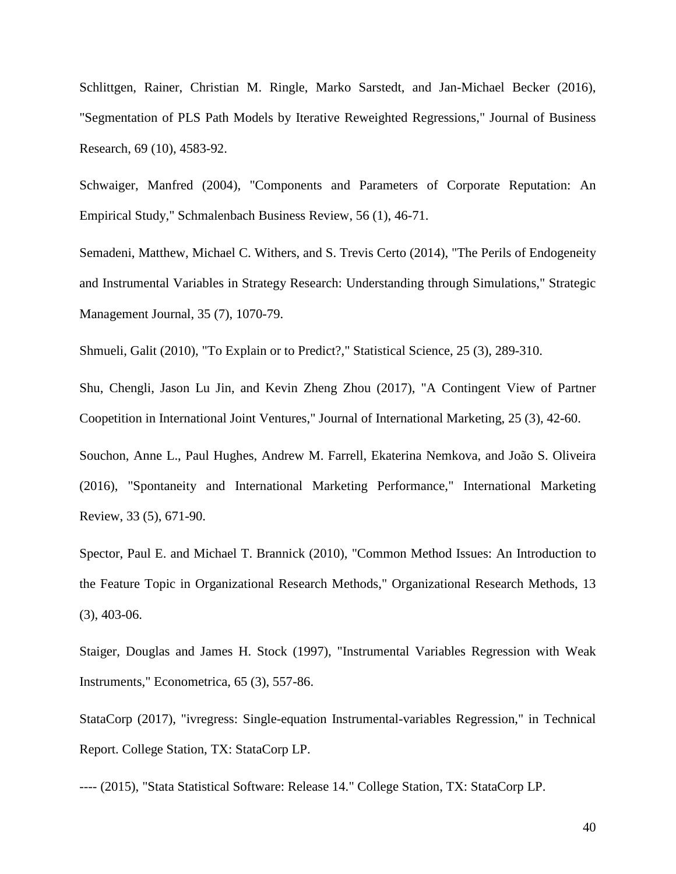Schlittgen, Rainer, Christian M. Ringle, Marko Sarstedt, and Jan-Michael Becker (2016), "Segmentation of PLS Path Models by Iterative Reweighted Regressions," Journal of Business Research, 69 (10), 4583-92.

Schwaiger, Manfred (2004), "Components and Parameters of Corporate Reputation: An Empirical Study," Schmalenbach Business Review, 56 (1), 46-71.

Semadeni, Matthew, Michael C. Withers, and S. Trevis Certo (2014), "The Perils of Endogeneity and Instrumental Variables in Strategy Research: Understanding through Simulations," Strategic Management Journal, 35 (7), 1070-79.

Shmueli, Galit (2010), "To Explain or to Predict?," Statistical Science, 25 (3), 289-310.

Shu, Chengli, Jason Lu Jin, and Kevin Zheng Zhou (2017), "A Contingent View of Partner Coopetition in International Joint Ventures," Journal of International Marketing, 25 (3), 42-60.

Souchon, Anne L., Paul Hughes, Andrew M. Farrell, Ekaterina Nemkova, and João S. Oliveira (2016), "Spontaneity and International Marketing Performance," International Marketing Review, 33 (5), 671-90.

Spector, Paul E. and Michael T. Brannick (2010), "Common Method Issues: An Introduction to the Feature Topic in Organizational Research Methods," Organizational Research Methods, 13 (3), 403-06.

Staiger, Douglas and James H. Stock (1997), "Instrumental Variables Regression with Weak Instruments," Econometrica, 65 (3), 557-86.

StataCorp (2017), "ivregress: Single-equation Instrumental-variables Regression," in Technical Report. College Station, TX: StataCorp LP.

---- (2015), "Stata Statistical Software: Release 14." College Station, TX: StataCorp LP.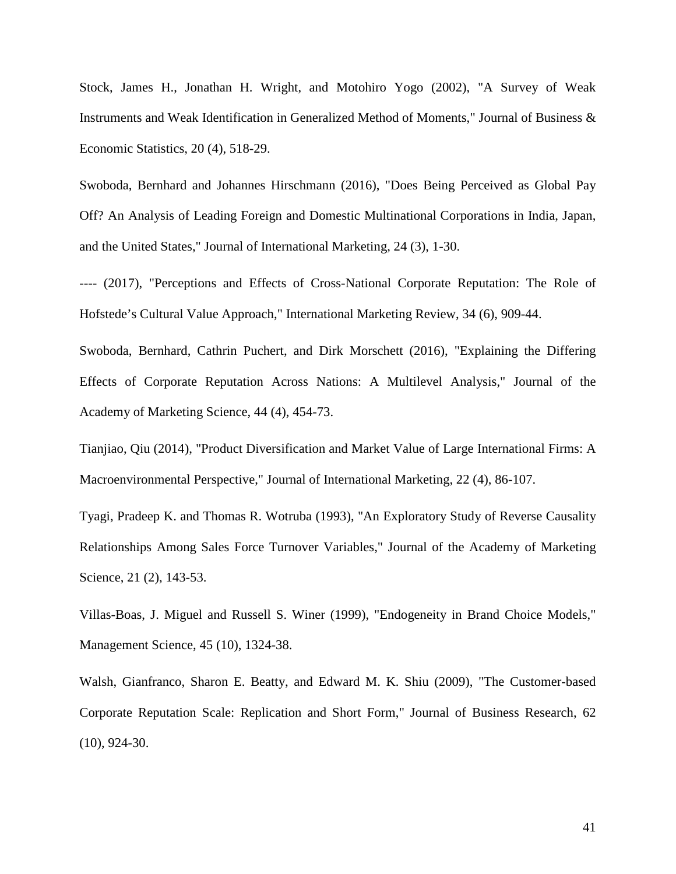Stock, James H., Jonathan H. Wright, and Motohiro Yogo (2002), "A Survey of Weak Instruments and Weak Identification in Generalized Method of Moments," Journal of Business & Economic Statistics, 20 (4), 518-29.

Swoboda, Bernhard and Johannes Hirschmann (2016), "Does Being Perceived as Global Pay Off? An Analysis of Leading Foreign and Domestic Multinational Corporations in India, Japan, and the United States," Journal of International Marketing, 24 (3), 1-30.

---- (2017), "Perceptions and Effects of Cross-National Corporate Reputation: The Role of Hofstede's Cultural Value Approach," International Marketing Review, 34 (6), 909-44.

Swoboda, Bernhard, Cathrin Puchert, and Dirk Morschett (2016), "Explaining the Differing Effects of Corporate Reputation Across Nations: A Multilevel Analysis," Journal of the Academy of Marketing Science, 44 (4), 454-73.

Tianjiao, Qiu (2014), "Product Diversification and Market Value of Large International Firms: A Macroenvironmental Perspective," Journal of International Marketing, 22 (4), 86-107.

Tyagi, Pradeep K. and Thomas R. Wotruba (1993), "An Exploratory Study of Reverse Causality Relationships Among Sales Force Turnover Variables," Journal of the Academy of Marketing Science, 21 (2), 143-53.

Villas-Boas, J. Miguel and Russell S. Winer (1999), "Endogeneity in Brand Choice Models," Management Science, 45 (10), 1324-38.

Walsh, Gianfranco, Sharon E. Beatty, and Edward M. K. Shiu (2009), "The Customer-based Corporate Reputation Scale: Replication and Short Form," Journal of Business Research, 62 (10), 924-30.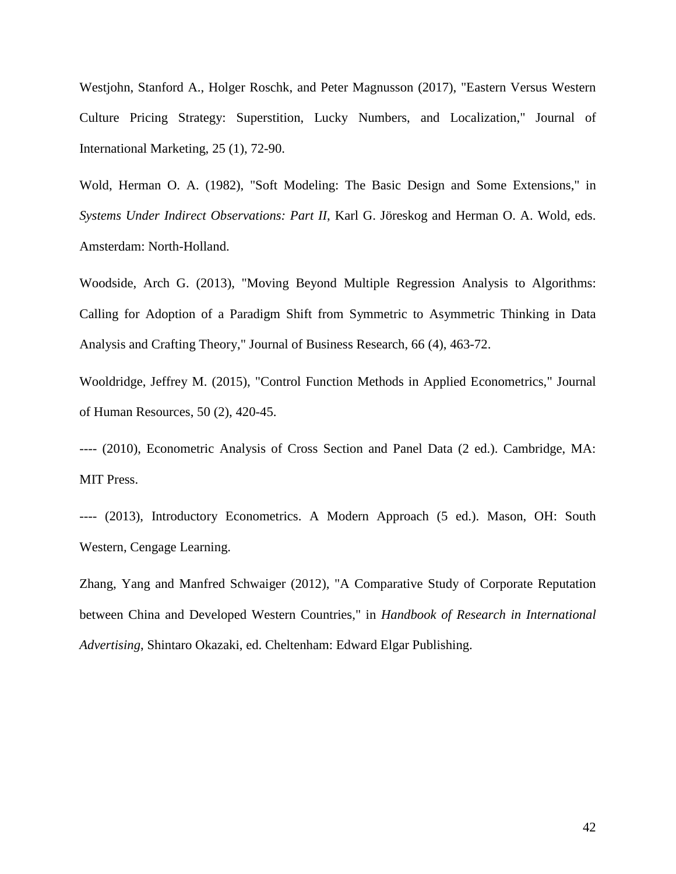Westjohn, Stanford A., Holger Roschk, and Peter Magnusson (2017), "Eastern Versus Western Culture Pricing Strategy: Superstition, Lucky Numbers, and Localization," Journal of International Marketing, 25 (1), 72-90.

Wold, Herman O. A. (1982), "Soft Modeling: The Basic Design and Some Extensions," in *Systems Under Indirect Observations: Part II*, Karl G. Jöreskog and Herman O. A. Wold, eds. Amsterdam: North-Holland.

Woodside, Arch G. (2013), "Moving Beyond Multiple Regression Analysis to Algorithms: Calling for Adoption of a Paradigm Shift from Symmetric to Asymmetric Thinking in Data Analysis and Crafting Theory," Journal of Business Research, 66 (4), 463-72.

Wooldridge, Jeffrey M. (2015), "Control Function Methods in Applied Econometrics," Journal of Human Resources, 50 (2), 420-45.

---- (2010), Econometric Analysis of Cross Section and Panel Data (2 ed.). Cambridge, MA: MIT Press.

---- (2013), Introductory Econometrics. A Modern Approach (5 ed.). Mason, OH: South Western, Cengage Learning.

Zhang, Yang and Manfred Schwaiger (2012), "A Comparative Study of Corporate Reputation between China and Developed Western Countries," in *Handbook of Research in International Advertising*, Shintaro Okazaki, ed. Cheltenham: Edward Elgar Publishing.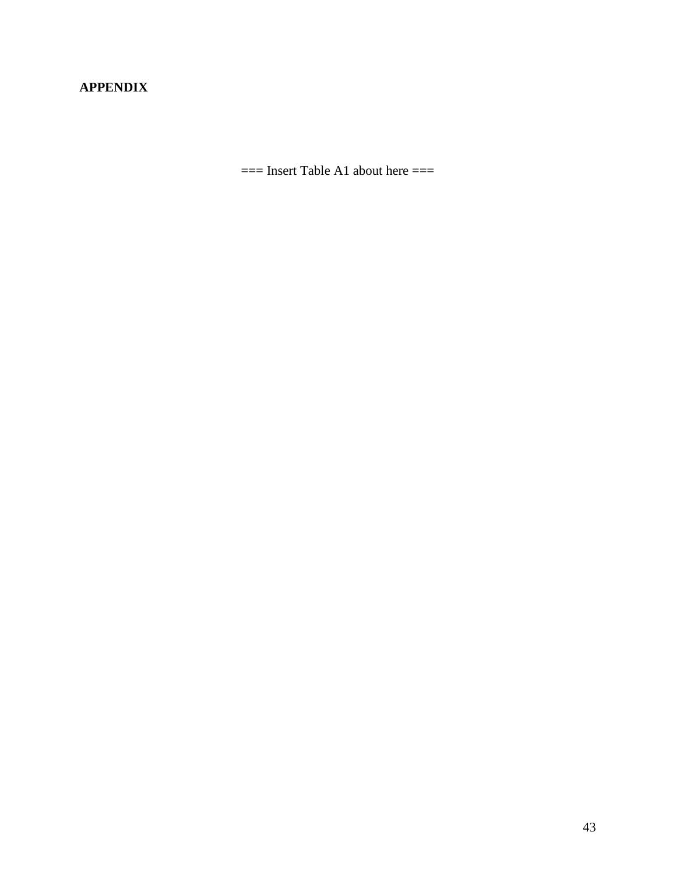# **APPENDIX**

 $==$  Insert Table A1 about here  $==$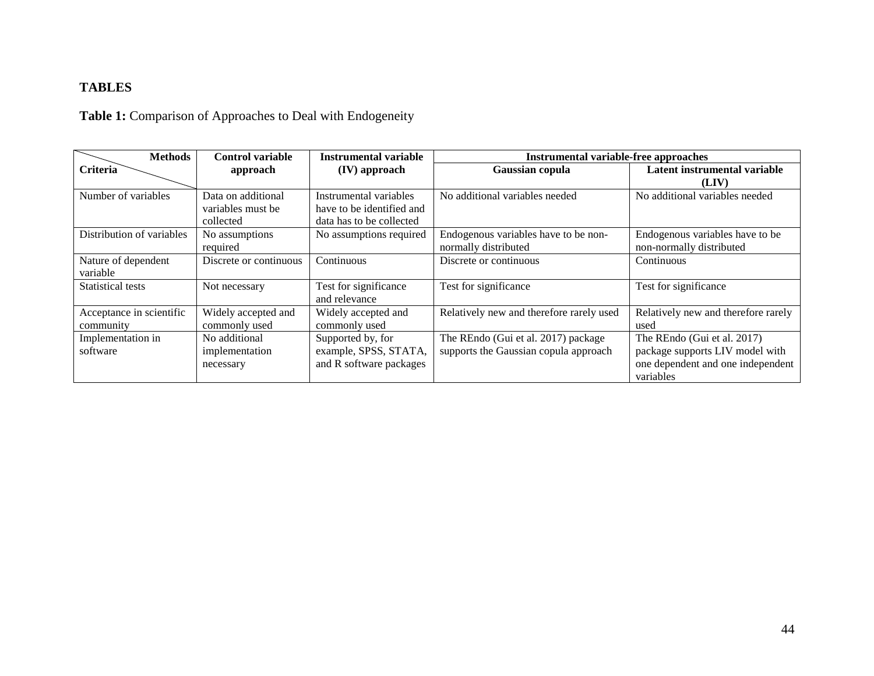# **TABLES**

# **Table 1:** Comparison of Approaches to Deal with Endogeneity

| <b>Methods</b>            | <b>Control variable</b> | Instrumental variable     | Instrumental variable-free approaches    |                                     |  |
|---------------------------|-------------------------|---------------------------|------------------------------------------|-------------------------------------|--|
| Criteria                  | approach                | (IV) approach             | Gaussian copula                          | Latent instrumental variable        |  |
|                           |                         |                           |                                          | (LIV)                               |  |
| Number of variables       | Data on additional      | Instrumental variables    | No additional variables needed           | No additional variables needed      |  |
|                           | variables must be       | have to be identified and |                                          |                                     |  |
|                           | collected               | data has to be collected  |                                          |                                     |  |
| Distribution of variables | No assumptions          | No assumptions required   | Endogenous variables have to be non-     | Endogenous variables have to be     |  |
|                           | required                |                           | normally distributed                     | non-normally distributed            |  |
| Nature of dependent       | Discrete or continuous  | Continuous                | Discrete or continuous                   | Continuous                          |  |
| variable                  |                         |                           |                                          |                                     |  |
| <b>Statistical tests</b>  | Not necessary           | Test for significance     | Test for significance                    | Test for significance               |  |
|                           |                         | and relevance             |                                          |                                     |  |
| Acceptance in scientific  | Widely accepted and     | Widely accepted and       | Relatively new and therefore rarely used | Relatively new and therefore rarely |  |
| community                 | commonly used           | commonly used             |                                          | used                                |  |
| Implementation in         | No additional           | Supported by, for         | The REndo (Gui et al. 2017) package      | The REndo (Gui et al. 2017)         |  |
| software                  | implementation          | example, SPSS, STATA,     | supports the Gaussian copula approach    | package supports LIV model with     |  |
|                           | necessary               | and R software packages   |                                          | one dependent and one independent   |  |
|                           |                         |                           |                                          | variables                           |  |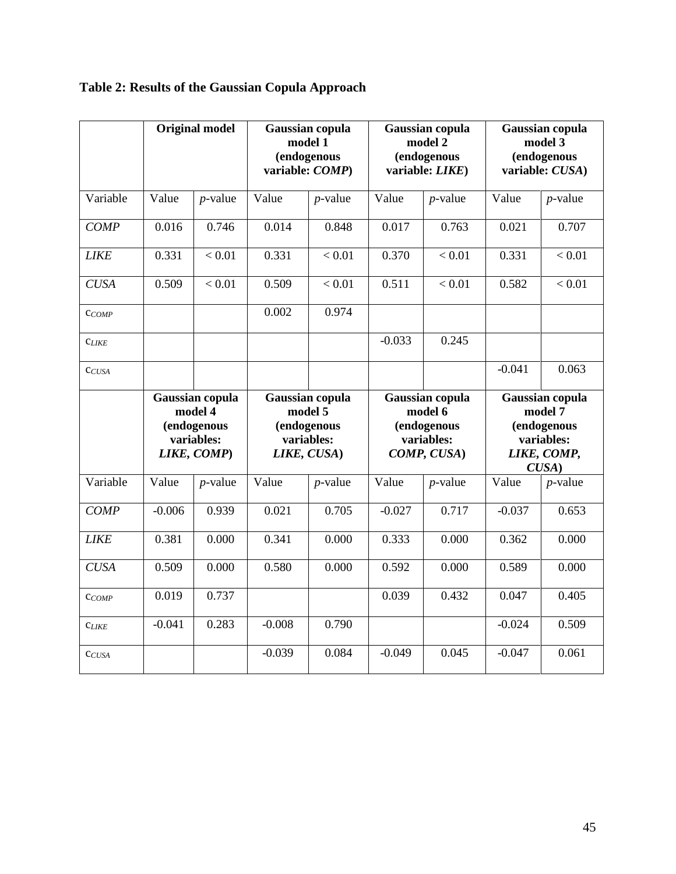|                   | <b>Original model</b>                                                  |            | Gaussian copula<br>model 1<br>(endogenous<br>variable: COMP)           |            | Gaussian copula<br>model 2<br>(endogenous<br>variable: LIKE)           |            | Gaussian copula<br>model 3<br>(endogenous<br>variable: CUSA)                    |            |
|-------------------|------------------------------------------------------------------------|------------|------------------------------------------------------------------------|------------|------------------------------------------------------------------------|------------|---------------------------------------------------------------------------------|------------|
| Variable          | Value                                                                  | $p$ -value | Value                                                                  | $p$ -value | Value                                                                  | $p$ -value | Value                                                                           | $p$ -value |
| <b>COMP</b>       | 0.016                                                                  | 0.746      | 0.014                                                                  | 0.848      | 0.017                                                                  | 0.763      | 0.021                                                                           | 0.707      |
| <b>LIKE</b>       | 0.331                                                                  | < 0.01     | 0.331                                                                  | < 0.01     | 0.370                                                                  | < 0.01     | 0.331                                                                           | < 0.01     |
| <b>CUSA</b>       | 0.509                                                                  | < 0.01     | 0.509                                                                  | < 0.01     | 0.511                                                                  | < 0.01     | 0.582                                                                           | < 0.01     |
| $C_{COMP}$        |                                                                        |            | 0.002                                                                  | 0.974      |                                                                        |            |                                                                                 |            |
| $C_{LIKE}$        |                                                                        |            |                                                                        |            | $-0.033$                                                               | 0.245      |                                                                                 |            |
| C <sub>CUSA</sub> |                                                                        |            |                                                                        |            |                                                                        |            | $-0.041$                                                                        | 0.063      |
|                   | Gaussian copula<br>model 4<br>(endogenous<br>variables:<br>LIKE, COMP) |            | Gaussian copula<br>model 5<br>(endogenous<br>variables:<br>LIKE, CUSA) |            | Gaussian copula<br>model 6<br>(endogenous<br>variables:<br>COMP, CUSA) |            | Gaussian copula<br>model 7<br>(endogenous<br>variables:<br>LIKE, COMP,<br>CUSA) |            |
| Variable          | Value                                                                  | $p$ -value | Value                                                                  | $p$ -value | Value                                                                  | $p$ -value | Value                                                                           | $p$ -value |
| <b>COMP</b>       | $-0.006$                                                               | 0.939      | 0.021                                                                  | 0.705      | $-0.027$                                                               | 0.717      | $-0.037$                                                                        | 0.653      |
| <b>LIKE</b>       | 0.381                                                                  | 0.000      | 0.341                                                                  | 0.000      | 0.333                                                                  | 0.000      | 0.362                                                                           | 0.000      |
| <b>CUSA</b>       | 0.509                                                                  | 0.000      | 0.580                                                                  | 0.000      | 0.592                                                                  | 0.000      | 0.589                                                                           | 0.000      |
| $C_{COMP}$        | 0.019                                                                  | 0.737      |                                                                        |            | 0.039                                                                  | 0.432      | 0.047                                                                           | 0.405      |
| <b>CLIKE</b>      | $-0.041$                                                               | 0.283      | $-0.008$                                                               | 0.790      |                                                                        |            | $-0.024$                                                                        | 0.509      |
| CCUSA             |                                                                        |            | $-0.039$                                                               | 0.084      | $-0.049$                                                               | 0.045      | $-0.047$                                                                        | 0.061      |

# **Table 2: Results of the Gaussian Copula Approach**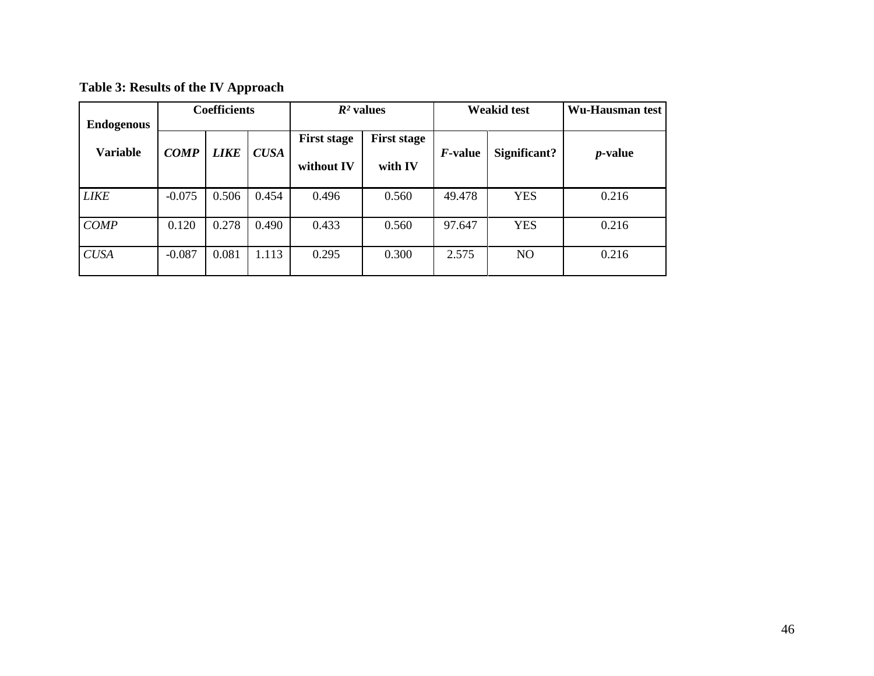| <b>Table 3: Results of the IV Approach</b> |  |  |  |  |
|--------------------------------------------|--|--|--|--|
|--------------------------------------------|--|--|--|--|

| <b>Endogenous</b> |             | <b>Coefficients</b> |             | $R^2$ values                     |                               | <b>Weakid test</b> |                | Wu-Hausman test |
|-------------------|-------------|---------------------|-------------|----------------------------------|-------------------------------|--------------------|----------------|-----------------|
| <b>Variable</b>   | <b>COMP</b> | <b>LIKE</b>         | <b>CUSA</b> | <b>First stage</b><br>without IV | <b>First stage</b><br>with IV | <i>F</i> -value    | Significant?   | <i>p</i> -value |
| <b>LIKE</b>       | $-0.075$    | 0.506               | 0.454       | 0.496                            | 0.560                         | 49.478             | <b>YES</b>     | 0.216           |
| <b>COMP</b>       | 0.120       | 0.278               | 0.490       | 0.433                            | 0.560                         | 97.647             | <b>YES</b>     | 0.216           |
| <b>CUSA</b>       | $-0.087$    | 0.081               | 1.113       | 0.295                            | 0.300                         | 2.575              | N <sub>O</sub> | 0.216           |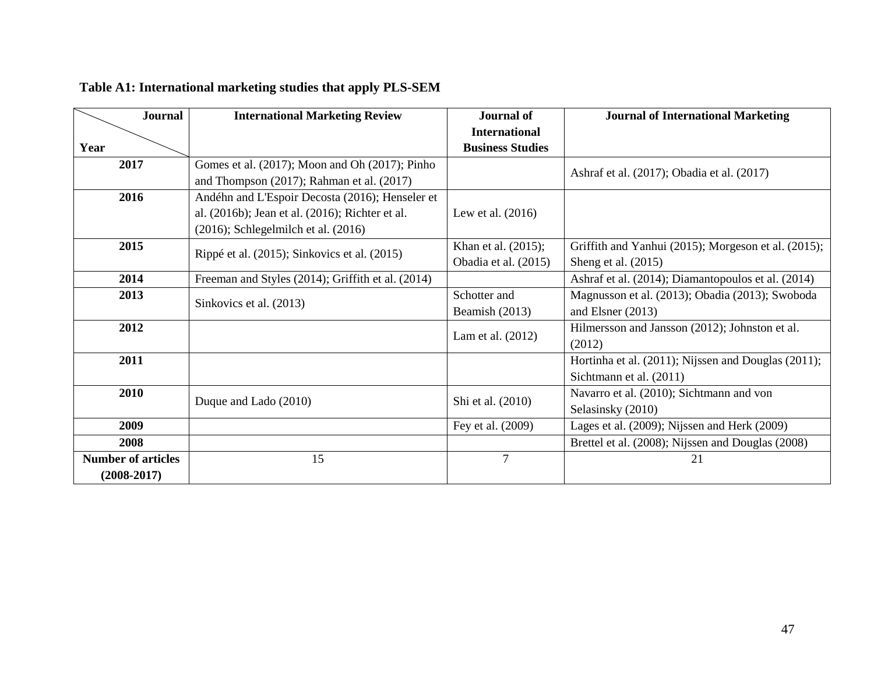| <b>Journal</b>            | <b>International Marketing Review</b>             | <b>Journal of</b>       | <b>Journal of International Marketing</b>           |  |
|---------------------------|---------------------------------------------------|-------------------------|-----------------------------------------------------|--|
|                           |                                                   | <b>International</b>    |                                                     |  |
| Year                      |                                                   | <b>Business Studies</b> |                                                     |  |
| 2017                      | Gomes et al. (2017); Moon and Oh (2017); Pinho    |                         | Ashraf et al. (2017); Obadia et al. (2017)          |  |
|                           | and Thompson $(2017)$ ; Rahman et al. $(2017)$    |                         |                                                     |  |
| 2016                      | Andéhn and L'Espoir Decosta (2016); Henseler et   |                         |                                                     |  |
|                           | al. (2016b); Jean et al. (2016); Richter et al.   | Lew et al. $(2016)$     |                                                     |  |
|                           | $(2016)$ ; Schlegelmilch et al. $(2016)$          |                         |                                                     |  |
| 2015                      | Rippé et al. (2015); Sinkovics et al. (2015)      | Khan et al. (2015);     | Griffith and Yanhui (2015); Morgeson et al. (2015); |  |
|                           |                                                   | Obadia et al. (2015)    | Sheng et al. $(2015)$                               |  |
| 2014                      | Freeman and Styles (2014); Griffith et al. (2014) |                         | Ashraf et al. (2014); Diamantopoulos et al. (2014)  |  |
| 2013                      | Sinkovics et al. (2013)                           | Schotter and            | Magnusson et al. (2013); Obadia (2013); Swoboda     |  |
|                           |                                                   | Beamish (2013)          | and Elsner (2013)                                   |  |
| 2012                      |                                                   | Lam et al. (2012)       | Hilmersson and Jansson (2012); Johnston et al.      |  |
|                           |                                                   |                         | (2012)                                              |  |
| 2011                      |                                                   |                         | Hortinha et al. (2011); Nijssen and Douglas (2011); |  |
|                           |                                                   |                         | Sichtmann et al. (2011)                             |  |
| 2010                      | Duque and Lado (2010)                             | Shi et al. (2010)       | Navarro et al. (2010); Sichtmann and von            |  |
|                           |                                                   |                         | Selasinsky (2010)                                   |  |
| 2009                      |                                                   | Fey et al. (2009)       | Lages et al. (2009); Nijssen and Herk (2009)        |  |
| 2008                      |                                                   |                         | Brettel et al. (2008); Nijssen and Douglas (2008)   |  |
| <b>Number of articles</b> | 15                                                | $\overline{7}$          | 21                                                  |  |
| $(2008-2017)$             |                                                   |                         |                                                     |  |

# **Table A1: International marketing studies that apply PLS-SEM**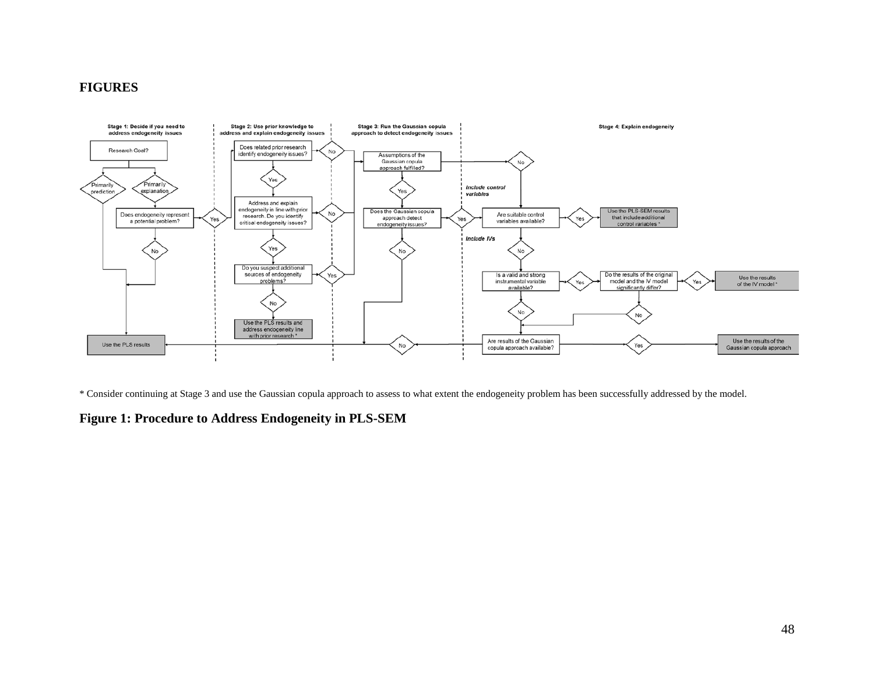# **FIGURES**



\* Consider continuing at Stage 3 and use the Gaussian copula approach to assess to what extent the endogeneity problem has been successfully addressed by the model.

# **Figure 1: Procedure to Address Endogeneity in PLS-SEM**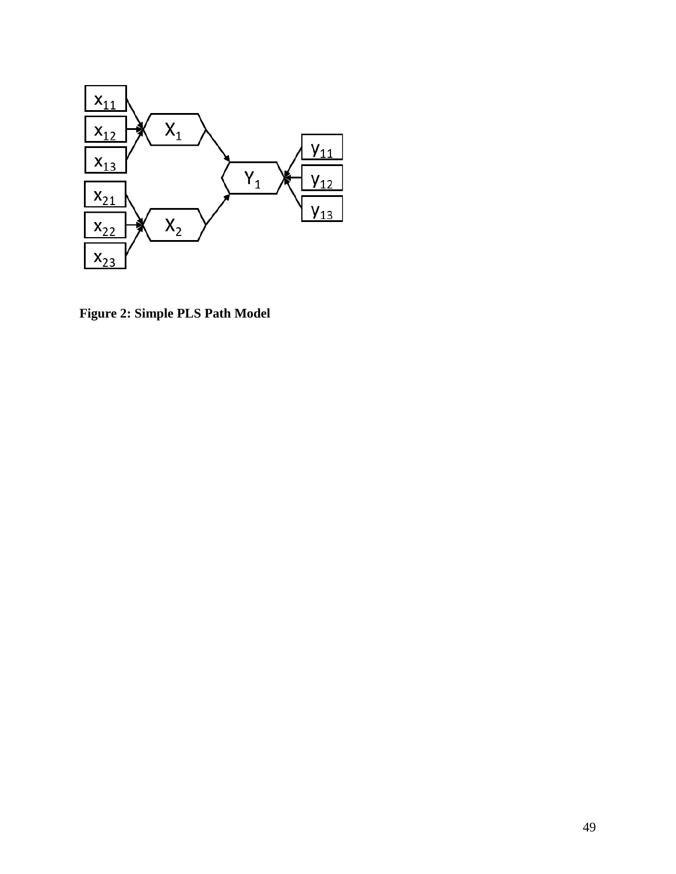

**Figure 2: Simple PLS Path Model**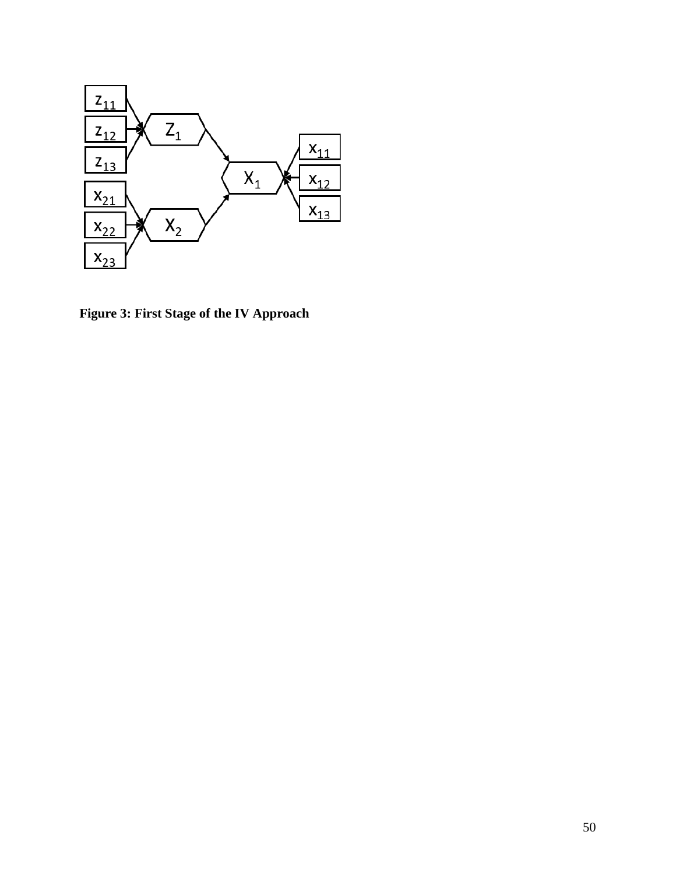

**Figure 3: First Stage of the IV Approach**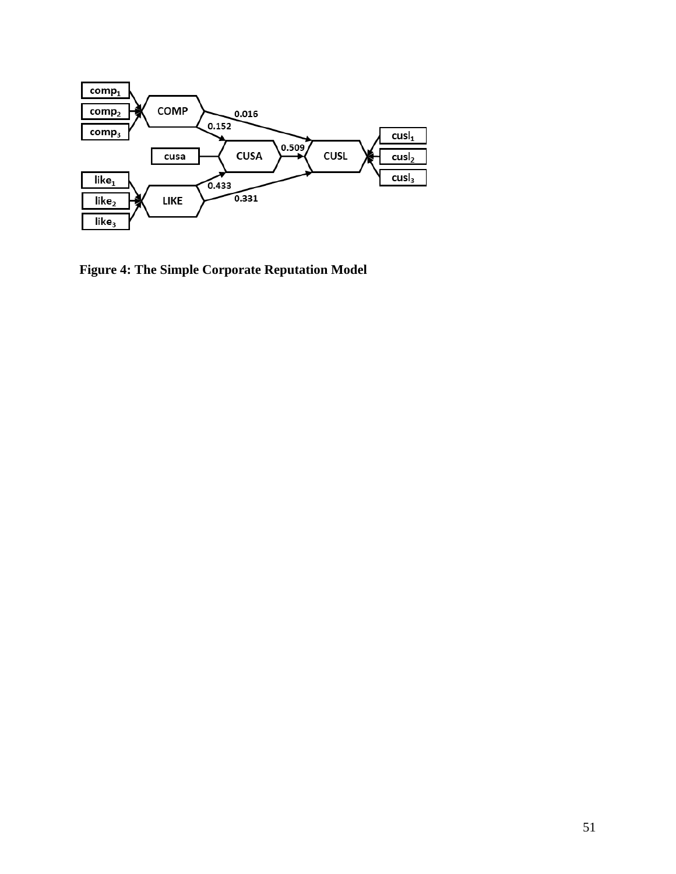<span id="page-51-0"></span>

<span id="page-51-5"></span><span id="page-51-4"></span><span id="page-51-3"></span><span id="page-51-2"></span><span id="page-51-1"></span>**Figure 4: The Simple Corporate Reputation Model**